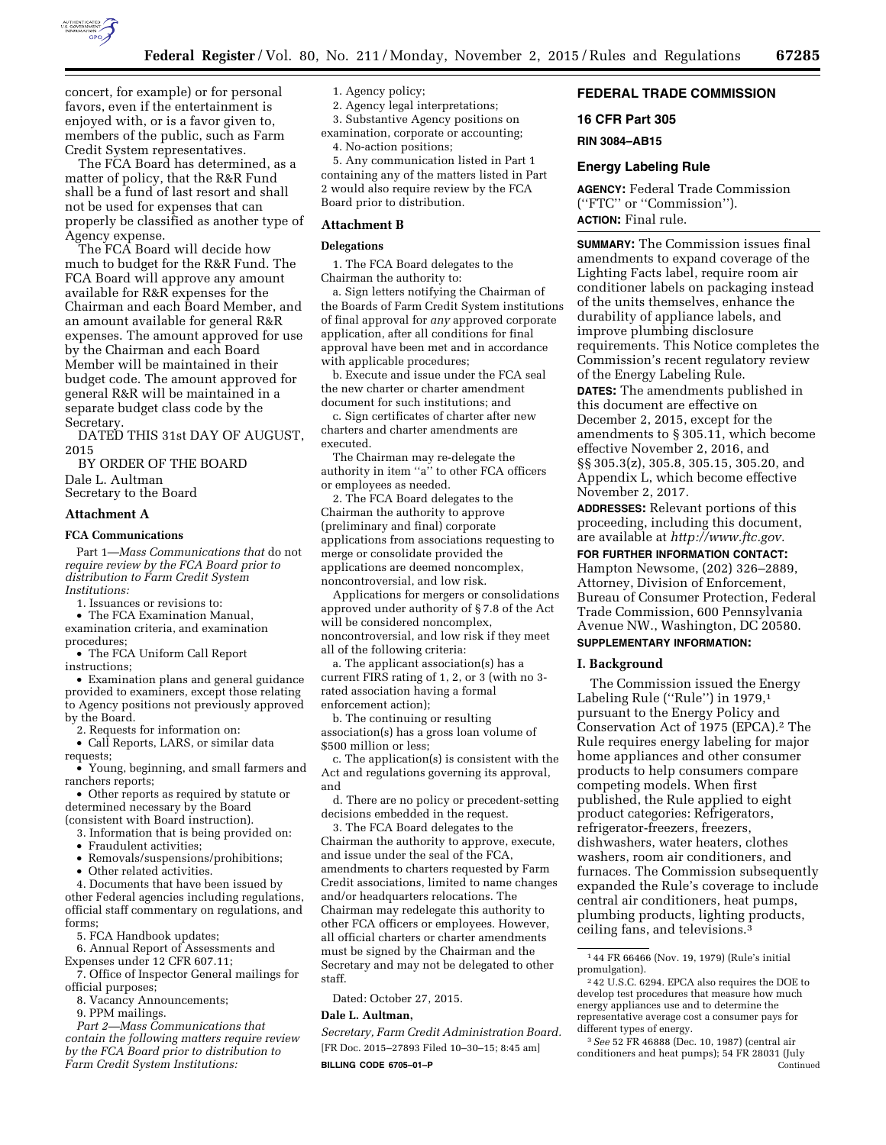

concert, for example) or for personal favors, even if the entertainment is enjoyed with, or is a favor given to, members of the public, such as Farm Credit System representatives.

The FCA Board has determined, as a matter of policy, that the R&R Fund shall be a fund of last resort and shall not be used for expenses that can properly be classified as another type of Agency expense.

The FCA Board will decide how much to budget for the R&R Fund. The FCA Board will approve any amount available for R&R expenses for the Chairman and each Board Member, and an amount available for general R&R expenses. The amount approved for use by the Chairman and each Board Member will be maintained in their budget code. The amount approved for general R&R will be maintained in a separate budget class code by the Secretary.

DATED THIS 31st DAY OF AUGUST, 2015

BY ORDER OF THE BOARD

Dale L. Aultman Secretary to the Board

#### **Attachment A**

#### **FCA Communications**

Part 1—*Mass Communications that* do not *require review by the FCA Board prior to distribution to Farm Credit System Institutions:* 

1. Issuances or revisions to:

• The FCA Examination Manual, examination criteria, and examination procedures;

• The FCA Uniform Call Report instructions;

• Examination plans and general guidance provided to examiners, except those relating to Agency positions not previously approved by the Board.

2. Requests for information on:

• Call Reports, LARS, or similar data requests;

• Young, beginning, and small farmers and ranchers reports;

• Other reports as required by statute or determined necessary by the Board (consistent with Board instruction).

- 3. Information that is being provided on:
- 
- Fraudulent activities; • Removals/suspensions/prohibitions;
- Other related activities.

4. Documents that have been issued by other Federal agencies including regulations, official staff commentary on regulations, and forms;

5. FCA Handbook updates;

6. Annual Report of Assessments and Expenses under 12 CFR 607.11;

7. Office of Inspector General mailings for official purposes;

8. Vacancy Announcements;

9. PPM mailings.

*Part 2—Mass Communications that contain the following matters require review by the FCA Board prior to distribution to Farm Credit System Institutions:* 

#### 1. Agency policy;

2. Agency legal interpretations;

3. Substantive Agency positions on

examination, corporate or accounting; 4. No-action positions;

5. Any communication listed in Part 1 containing any of the matters listed in Part 2 would also require review by the FCA Board prior to distribution.

#### **Attachment B**

#### **Delegations**

1. The FCA Board delegates to the Chairman the authority to:

a. Sign letters notifying the Chairman of the Boards of Farm Credit System institutions of final approval for *any* approved corporate application, after all conditions for final approval have been met and in accordance with applicable procedures;

b. Execute and issue under the FCA seal the new charter or charter amendment document for such institutions; and

c. Sign certificates of charter after new charters and charter amendments are executed.

The Chairman may re-delegate the authority in item ''a'' to other FCA officers or employees as needed.

2. The FCA Board delegates to the Chairman the authority to approve (preliminary and final) corporate applications from associations requesting to merge or consolidate provided the applications are deemed noncomplex, noncontroversial, and low risk.

Applications for mergers or consolidations approved under authority of § 7.8 of the Act will be considered noncomplex, noncontroversial, and low risk if they meet all of the following criteria:

a. The applicant association(s) has a current FIRS rating of 1, 2, or 3 (with no 3 rated association having a formal enforcement action);

b. The continuing or resulting association(s) has a gross loan volume of \$500 million or less:

c. The application(s) is consistent with the Act and regulations governing its approval, and

d. There are no policy or precedent-setting decisions embedded in the request.

3. The FCA Board delegates to the Chairman the authority to approve, execute, and issue under the seal of the FCA, amendments to charters requested by Farm Credit associations, limited to name changes and/or headquarters relocations. The Chairman may redelegate this authority to other FCA officers or employees. However, all official charters or charter amendments must be signed by the Chairman and the Secretary and may not be delegated to other staff.

Dated: October 27, 2015.

#### **Dale L. Aultman,**

*Secretary, Farm Credit Administration Board.*  [FR Doc. 2015–27893 Filed 10–30–15; 8:45 am] **BILLING CODE 6705–01–P** 

# **FEDERAL TRADE COMMISSION**

**16 CFR Part 305** 

**RIN 3084–AB15** 

#### **Energy Labeling Rule**

**AGENCY:** Federal Trade Commission (''FTC'' or ''Commission''). **ACTION:** Final rule.

**SUMMARY:** The Commission issues final amendments to expand coverage of the Lighting Facts label, require room air conditioner labels on packaging instead of the units themselves, enhance the durability of appliance labels, and improve plumbing disclosure requirements. This Notice completes the Commission's recent regulatory review of the Energy Labeling Rule.

**DATES:** The amendments published in this document are effective on December 2, 2015, except for the amendments to § 305.11, which become effective November 2, 2016, and §§ 305.3(z), 305.8, 305.15, 305.20, and Appendix L, which become effective November 2, 2017.

**ADDRESSES:** Relevant portions of this proceeding, including this document, are available at *http://www.ftc.gov.* 

**FOR FURTHER INFORMATION CONTACT:**  Hampton Newsome, (202) 326–2889, Attorney, Division of Enforcement, Bureau of Consumer Protection, Federal Trade Commission, 600 Pennsylvania Avenue NW., Washington, DC 20580.

# **SUPPLEMENTARY INFORMATION:**

#### **I. Background**

The Commission issued the Energy Labeling Rule (''Rule'') in 1979,1 pursuant to the Energy Policy and Conservation Act of 1975 (EPCA).2 The Rule requires energy labeling for major home appliances and other consumer products to help consumers compare competing models. When first published, the Rule applied to eight product categories: Refrigerators, refrigerator-freezers, freezers, dishwashers, water heaters, clothes washers, room air conditioners, and furnaces. The Commission subsequently expanded the Rule's coverage to include central air conditioners, heat pumps, plumbing products, lighting products, ceiling fans, and televisions.3

<sup>1</sup> 44 FR 66466 (Nov. 19, 1979) (Rule's initial promulgation).

<sup>2</sup> 42 U.S.C. 6294. EPCA also requires the DOE to develop test procedures that measure how much energy appliances use and to determine the representative average cost a consumer pays for different types of energy.

<sup>3</sup>*See* 52 FR 46888 (Dec. 10, 1987) (central air conditioners and heat pumps); 54 FR 28031 (July Continued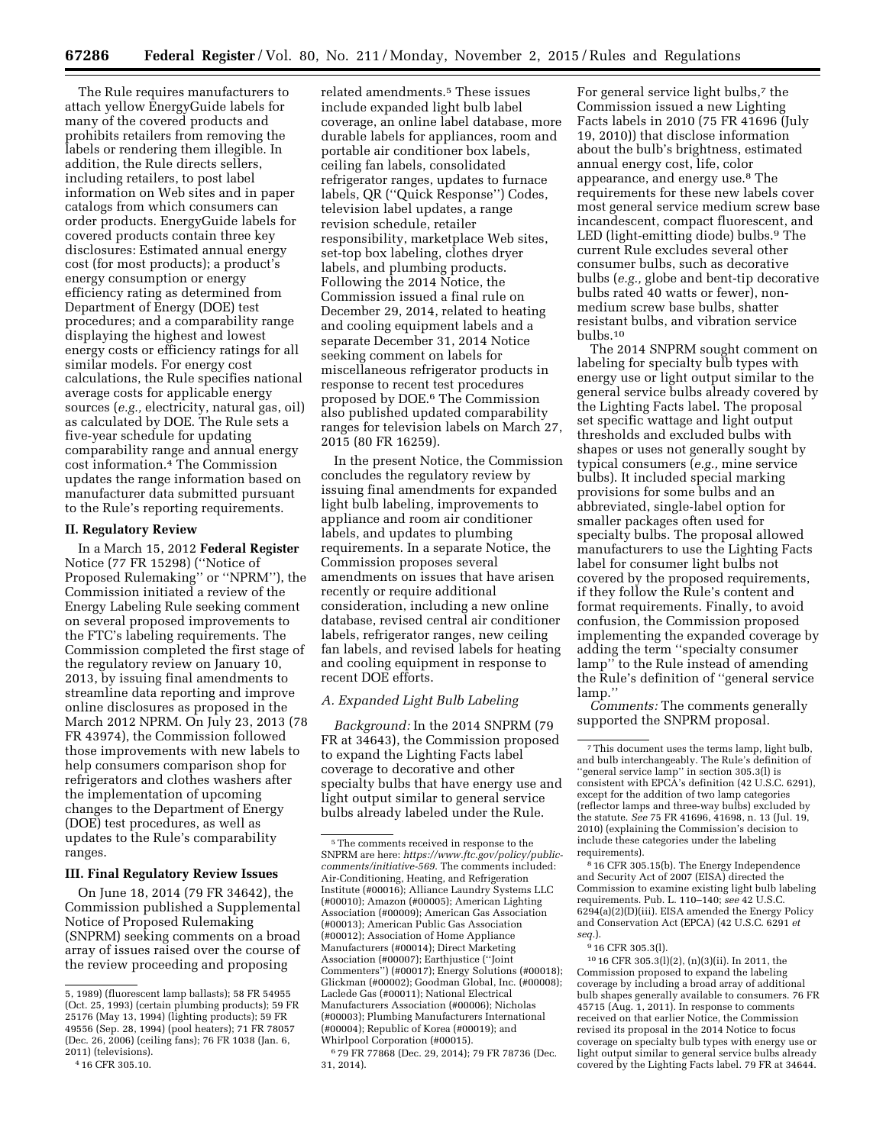The Rule requires manufacturers to attach yellow EnergyGuide labels for many of the covered products and prohibits retailers from removing the labels or rendering them illegible. In addition, the Rule directs sellers, including retailers, to post label information on Web sites and in paper catalogs from which consumers can order products. EnergyGuide labels for covered products contain three key disclosures: Estimated annual energy cost (for most products); a product's energy consumption or energy efficiency rating as determined from Department of Energy (DOE) test procedures; and a comparability range displaying the highest and lowest energy costs or efficiency ratings for all similar models. For energy cost calculations, the Rule specifies national average costs for applicable energy sources (*e.g.,* electricity, natural gas, oil) as calculated by DOE. The Rule sets a five-year schedule for updating comparability range and annual energy cost information.4 The Commission updates the range information based on manufacturer data submitted pursuant to the Rule's reporting requirements.

#### **II. Regulatory Review**

In a March 15, 2012 **Federal Register**  Notice (77 FR 15298) (''Notice of Proposed Rulemaking'' or ''NPRM''), the Commission initiated a review of the Energy Labeling Rule seeking comment on several proposed improvements to the FTC's labeling requirements. The Commission completed the first stage of the regulatory review on January 10, 2013, by issuing final amendments to streamline data reporting and improve online disclosures as proposed in the March 2012 NPRM. On July 23, 2013 (78 FR 43974), the Commission followed those improvements with new labels to help consumers comparison shop for refrigerators and clothes washers after the implementation of upcoming changes to the Department of Energy (DOE) test procedures, as well as updates to the Rule's comparability ranges.

#### **III. Final Regulatory Review Issues**

On June 18, 2014 (79 FR 34642), the Commission published a Supplemental Notice of Proposed Rulemaking (SNPRM) seeking comments on a broad array of issues raised over the course of the review proceeding and proposing

related amendments.5 These issues include expanded light bulb label coverage, an online label database, more durable labels for appliances, room and portable air conditioner box labels, ceiling fan labels, consolidated refrigerator ranges, updates to furnace labels, QR (''Quick Response'') Codes, television label updates, a range revision schedule, retailer responsibility, marketplace Web sites, set-top box labeling, clothes dryer labels, and plumbing products. Following the 2014 Notice, the Commission issued a final rule on December 29, 2014, related to heating and cooling equipment labels and a separate December 31, 2014 Notice seeking comment on labels for miscellaneous refrigerator products in response to recent test procedures proposed by DOE.6 The Commission also published updated comparability ranges for television labels on March 27, 2015 (80 FR 16259).

In the present Notice, the Commission concludes the regulatory review by issuing final amendments for expanded light bulb labeling, improvements to appliance and room air conditioner labels, and updates to plumbing requirements. In a separate Notice, the Commission proposes several amendments on issues that have arisen recently or require additional consideration, including a new online database, revised central air conditioner labels, refrigerator ranges, new ceiling fan labels, and revised labels for heating and cooling equipment in response to recent DOE efforts.

#### *A. Expanded Light Bulb Labeling*

*Background:* In the 2014 SNPRM (79 FR at 34643), the Commission proposed to expand the Lighting Facts label coverage to decorative and other specialty bulbs that have energy use and light output similar to general service bulbs already labeled under the Rule.

For general service light bulbs,<sup>7</sup> the Commission issued a new Lighting Facts labels in 2010 (75 FR 41696 (July 19, 2010)) that disclose information about the bulb's brightness, estimated annual energy cost, life, color appearance, and energy use.8 The requirements for these new labels cover most general service medium screw base incandescent, compact fluorescent, and LED (light-emitting diode) bulbs.<sup>9</sup> The current Rule excludes several other consumer bulbs, such as decorative bulbs (*e.g.,* globe and bent-tip decorative bulbs rated 40 watts or fewer), nonmedium screw base bulbs, shatter resistant bulbs, and vibration service bulbs.10

The 2014 SNPRM sought comment on labeling for specialty bulb types with energy use or light output similar to the general service bulbs already covered by the Lighting Facts label. The proposal set specific wattage and light output thresholds and excluded bulbs with shapes or uses not generally sought by typical consumers (*e.g.,* mine service bulbs). It included special marking provisions for some bulbs and an abbreviated, single-label option for smaller packages often used for specialty bulbs. The proposal allowed manufacturers to use the Lighting Facts label for consumer light bulbs not covered by the proposed requirements, if they follow the Rule's content and format requirements. Finally, to avoid confusion, the Commission proposed implementing the expanded coverage by adding the term ''specialty consumer lamp'' to the Rule instead of amending the Rule's definition of ''general service lamp.''

*Comments:* The comments generally supported the SNPRM proposal.

8 16 CFR 305.15(b). The Energy Independence and Security Act of 2007 (EISA) directed the Commission to examine existing light bulb labeling requirements. Pub. L. 110–140; *see* 42 U.S.C. 6294(a)(2)(D)(iii). EISA amended the Energy Policy and Conservation Act (EPCA) (42 U.S.C. 6291 *et seq.*).

#### 9 16 CFR 305.3(l).

10 16 CFR 305.3(l)(2), (n)(3)(ii). In 2011, the Commission proposed to expand the labeling coverage by including a broad array of additional bulb shapes generally available to consumers. 76 FR 45715 (Aug. 1, 2011). In response to comments received on that earlier Notice, the Commission revised its proposal in the 2014 Notice to focus coverage on specialty bulb types with energy use or light output similar to general service bulbs already covered by the Lighting Facts label. 79 FR at 34644.

<sup>5, 1989) (</sup>fluorescent lamp ballasts); 58 FR 54955 (Oct. 25, 1993) (certain plumbing products); 59 FR 25176 (May 13, 1994) (lighting products); 59 FR 49556 (Sep. 28, 1994) (pool heaters); 71 FR 78057 (Dec. 26, 2006) (ceiling fans); 76 FR 1038 (Jan. 6, 2011) (televisions).

<sup>4</sup> 16 CFR 305.10.

<sup>5</sup>The comments received in response to the SNPRM are here: *https://www.ftc.gov/policy/publiccomments/initiative-569*. The comments included: Air-Conditioning, Heating, and Refrigeration Institute (#00016); Alliance Laundry Systems LLC (#00010); Amazon (#00005); American Lighting Association (#00009); American Gas Association (#00013); American Public Gas Association (#00012); Association of Home Appliance Manufacturers (#00014); Direct Marketing Association (#00007); Earthjustice (''Joint Commenters'') (#00017); Energy Solutions (#00018); Glickman (#00002); Goodman Global, Inc. (#00008); Laclede Gas (#00011); National Electrical Manufacturers Association (#00006); Nicholas (#00003); Plumbing Manufacturers International (#00004); Republic of Korea (#00019); and Whirlpool Corporation (#00015).

<sup>6</sup> 79 FR 77868 (Dec. 29, 2014); 79 FR 78736 (Dec. 31, 2014).

<sup>7</sup>This document uses the terms lamp, light bulb, and bulb interchangeably. The Rule's definition of ''general service lamp'' in section 305.3(l) is consistent with EPCA's definition (42 U.S.C. 6291), except for the addition of two lamp categories (reflector lamps and three-way bulbs) excluded by the statute. *See* 75 FR 41696, 41698, n. 13 (Jul. 19, 2010) (explaining the Commission's decision to include these categories under the labeling requirements).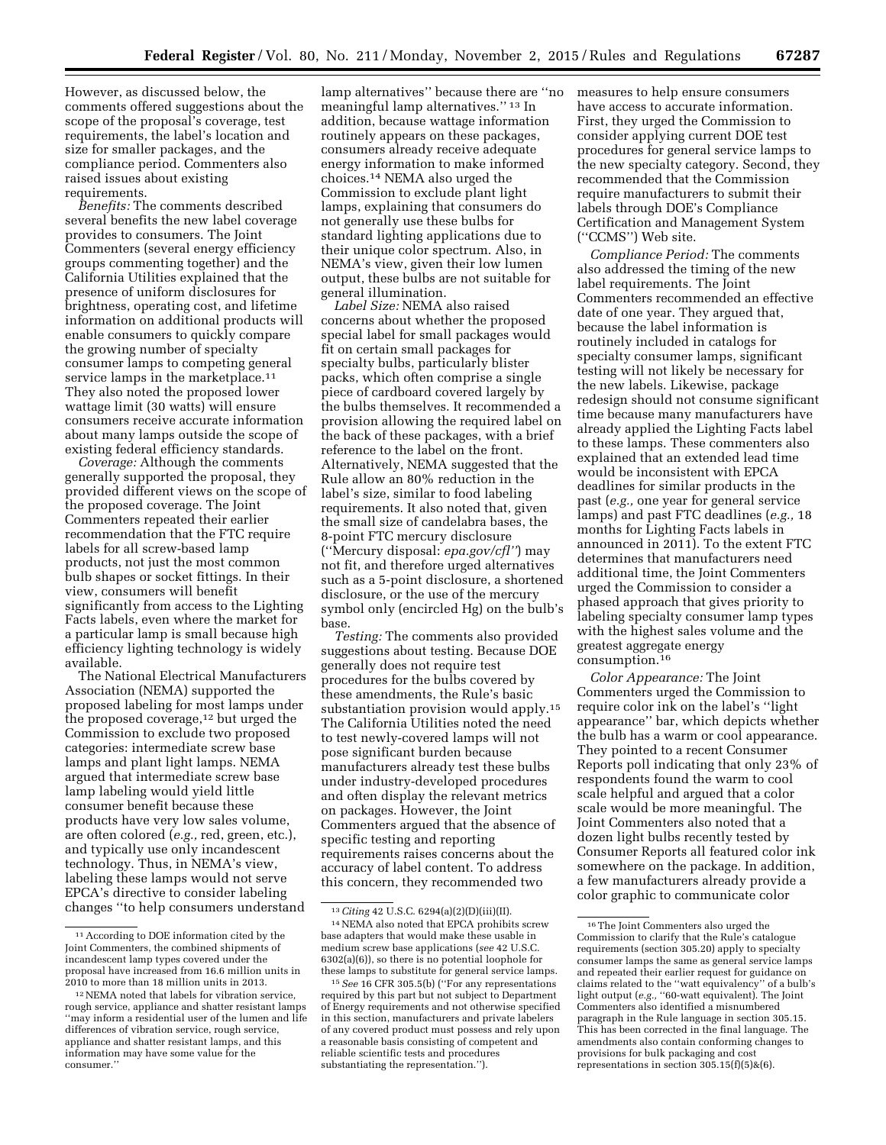However, as discussed below, the comments offered suggestions about the scope of the proposal's coverage, test requirements, the label's location and size for smaller packages, and the compliance period. Commenters also raised issues about existing requirements.

*Benefits:* The comments described several benefits the new label coverage provides to consumers. The Joint Commenters (several energy efficiency groups commenting together) and the California Utilities explained that the presence of uniform disclosures for brightness, operating cost, and lifetime information on additional products will enable consumers to quickly compare the growing number of specialty consumer lamps to competing general service lamps in the marketplace.<sup>11</sup> They also noted the proposed lower wattage limit (30 watts) will ensure consumers receive accurate information about many lamps outside the scope of existing federal efficiency standards.

*Coverage:* Although the comments generally supported the proposal, they provided different views on the scope of the proposed coverage. The Joint Commenters repeated their earlier recommendation that the FTC require labels for all screw-based lamp products, not just the most common bulb shapes or socket fittings. In their view, consumers will benefit significantly from access to the Lighting Facts labels, even where the market for a particular lamp is small because high efficiency lighting technology is widely available.

The National Electrical Manufacturers Association (NEMA) supported the proposed labeling for most lamps under the proposed coverage, $12$  but urged the Commission to exclude two proposed categories: intermediate screw base lamps and plant light lamps. NEMA argued that intermediate screw base lamp labeling would yield little consumer benefit because these products have very low sales volume, are often colored (*e.g.,* red, green, etc.), and typically use only incandescent technology. Thus, in NEMA's view, labeling these lamps would not serve EPCA's directive to consider labeling changes ''to help consumers understand

lamp alternatives'' because there are ''no meaningful lamp alternatives.'' 13 In addition, because wattage information routinely appears on these packages, consumers already receive adequate energy information to make informed choices.14 NEMA also urged the Commission to exclude plant light lamps, explaining that consumers do not generally use these bulbs for standard lighting applications due to their unique color spectrum. Also, in NEMA's view, given their low lumen output, these bulbs are not suitable for general illumination.

*Label Size:* NEMA also raised concerns about whether the proposed special label for small packages would fit on certain small packages for specialty bulbs, particularly blister packs, which often comprise a single piece of cardboard covered largely by the bulbs themselves. It recommended a provision allowing the required label on the back of these packages, with a brief reference to the label on the front. Alternatively, NEMA suggested that the Rule allow an 80% reduction in the label's size, similar to food labeling requirements. It also noted that, given the small size of candelabra bases, the 8-point FTC mercury disclosure (''Mercury disposal: *epa.gov/cfl''*) may not fit, and therefore urged alternatives such as a 5-point disclosure, a shortened disclosure, or the use of the mercury symbol only (encircled Hg) on the bulb's base.

*Testing:* The comments also provided suggestions about testing. Because DOE generally does not require test procedures for the bulbs covered by these amendments, the Rule's basic substantiation provision would apply.15 The California Utilities noted the need to test newly-covered lamps will not pose significant burden because manufacturers already test these bulbs under industry-developed procedures and often display the relevant metrics on packages. However, the Joint Commenters argued that the absence of specific testing and reporting requirements raises concerns about the accuracy of label content. To address this concern, they recommended two

measures to help ensure consumers have access to accurate information. First, they urged the Commission to consider applying current DOE test procedures for general service lamps to the new specialty category. Second, they recommended that the Commission require manufacturers to submit their labels through DOE's Compliance Certification and Management System (''CCMS'') Web site.

*Compliance Period:* The comments also addressed the timing of the new label requirements. The Joint Commenters recommended an effective date of one year. They argued that, because the label information is routinely included in catalogs for specialty consumer lamps, significant testing will not likely be necessary for the new labels. Likewise, package redesign should not consume significant time because many manufacturers have already applied the Lighting Facts label to these lamps. These commenters also explained that an extended lead time would be inconsistent with EPCA deadlines for similar products in the past (*e.g.,* one year for general service lamps) and past FTC deadlines (*e.g.,* 18 months for Lighting Facts labels in announced in 2011). To the extent FTC determines that manufacturers need additional time, the Joint Commenters urged the Commission to consider a phased approach that gives priority to labeling specialty consumer lamp types with the highest sales volume and the greatest aggregate energy consumption.16

*Color Appearance:* The Joint Commenters urged the Commission to require color ink on the label's ''light appearance'' bar, which depicts whether the bulb has a warm or cool appearance. They pointed to a recent Consumer Reports poll indicating that only 23% of respondents found the warm to cool scale helpful and argued that a color scale would be more meaningful. The Joint Commenters also noted that a dozen light bulbs recently tested by Consumer Reports all featured color ink somewhere on the package. In addition, a few manufacturers already provide a color graphic to communicate color

<sup>11</sup>According to DOE information cited by the Joint Commenters, the combined shipments of incandescent lamp types covered under the proposal have increased from 16.6 million units in 2010 to more than 18 million units in 2013.

<sup>12</sup>NEMA noted that labels for vibration service, rough service, appliance and shatter resistant lamps ''may inform a residential user of the lumen and life differences of vibration service, rough service, appliance and shatter resistant lamps, and this information may have some value for the consumer.''

<sup>13</sup>*Citing* 42 U.S.C. 6294(a)(2)(D)(iii)(II).

<sup>14</sup>NEMA also noted that EPCA prohibits screw base adapters that would make these usable in medium screw base applications (*see* 42 U.S.C. 6302(a)(6)), so there is no potential loophole for these lamps to substitute for general service lamps.

<sup>15</sup>*See* 16 CFR 305.5(b) (''For any representations required by this part but not subject to Department of Energy requirements and not otherwise specified in this section, manufacturers and private labelers of any covered product must possess and rely upon a reasonable basis consisting of competent and reliable scientific tests and procedures substantiating the representation.'').

<sup>16</sup>The Joint Commenters also urged the Commission to clarify that the Rule's catalogue requirements (section 305.20) apply to specialty consumer lamps the same as general service lamps and repeated their earlier request for guidance on claims related to the ''watt equivalency'' of a bulb's light output (*e.g.,* ''60-watt equivalent). The Joint Commenters also identified a misnumbered paragraph in the Rule language in section 305.15. This has been corrected in the final language. The amendments also contain conforming changes to provisions for bulk packaging and cost representations in section 305.15(f)(5)&(6).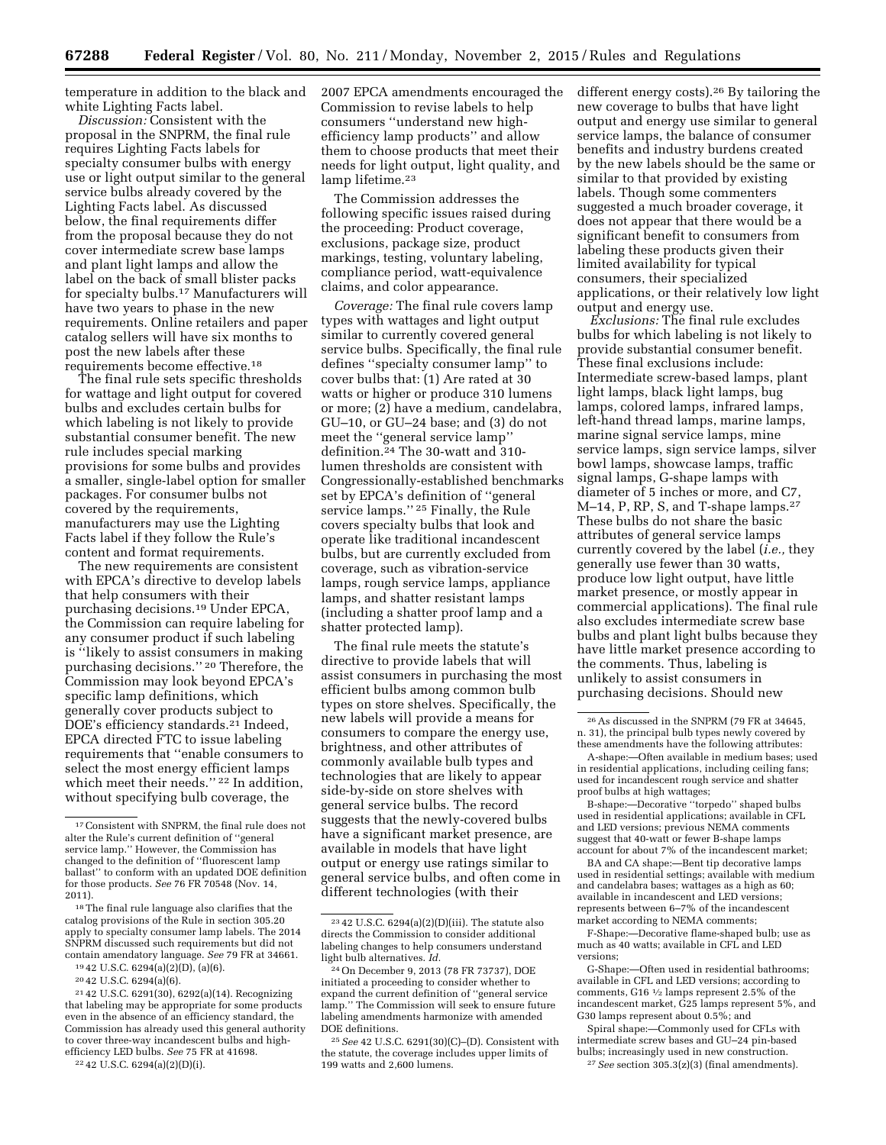temperature in addition to the black and white Lighting Facts label.

*Discussion:* Consistent with the proposal in the SNPRM, the final rule requires Lighting Facts labels for specialty consumer bulbs with energy use or light output similar to the general service bulbs already covered by the Lighting Facts label. As discussed below, the final requirements differ from the proposal because they do not cover intermediate screw base lamps and plant light lamps and allow the label on the back of small blister packs for specialty bulbs.17 Manufacturers will have two years to phase in the new requirements. Online retailers and paper catalog sellers will have six months to post the new labels after these requirements become effective.18

The final rule sets specific thresholds for wattage and light output for covered bulbs and excludes certain bulbs for which labeling is not likely to provide substantial consumer benefit. The new rule includes special marking provisions for some bulbs and provides a smaller, single-label option for smaller packages. For consumer bulbs not covered by the requirements, manufacturers may use the Lighting Facts label if they follow the Rule's content and format requirements.

The new requirements are consistent with EPCA's directive to develop labels that help consumers with their purchasing decisions.19 Under EPCA, the Commission can require labeling for any consumer product if such labeling is ''likely to assist consumers in making purchasing decisions.'' 20 Therefore, the Commission may look beyond EPCA's specific lamp definitions, which generally cover products subject to DOE's efficiency standards.21 Indeed, EPCA directed FTC to issue labeling requirements that ''enable consumers to select the most energy efficient lamps which meet their needs."<sup>22</sup> In addition, without specifying bulb coverage, the

19 42 U.S.C. 6294(a)(2)(D), (a)(6).

21 42 U.S.C. 6291(30), 6292(a)(14). Recognizing that labeling may be appropriate for some products even in the absence of an efficiency standard, the Commission has already used this general authority to cover three-way incandescent bulbs and highefficiency LED bulbs. *See* 75 FR at 41698.

22 42 U.S.C. 6294(a)(2)(D)(i).

2007 EPCA amendments encouraged the Commission to revise labels to help consumers ''understand new highefficiency lamp products'' and allow them to choose products that meet their needs for light output, light quality, and lamp lifetime.<sup>23</sup>

The Commission addresses the following specific issues raised during the proceeding: Product coverage, exclusions, package size, product markings, testing, voluntary labeling, compliance period, watt-equivalence claims, and color appearance.

*Coverage:* The final rule covers lamp types with wattages and light output similar to currently covered general service bulbs. Specifically, the final rule defines ''specialty consumer lamp'' to cover bulbs that: (1) Are rated at 30 watts or higher or produce 310 lumens or more; (2) have a medium, candelabra, GU–10, or GU–24 base; and (3) do not meet the ''general service lamp'' definition.24 The 30-watt and 310 lumen thresholds are consistent with Congressionally-established benchmarks set by EPCA's definition of ''general service lamps.'' 25 Finally, the Rule covers specialty bulbs that look and operate like traditional incandescent bulbs, but are currently excluded from coverage, such as vibration-service lamps, rough service lamps, appliance lamps, and shatter resistant lamps (including a shatter proof lamp and a shatter protected lamp).

The final rule meets the statute's directive to provide labels that will assist consumers in purchasing the most efficient bulbs among common bulb types on store shelves. Specifically, the new labels will provide a means for consumers to compare the energy use, brightness, and other attributes of commonly available bulb types and technologies that are likely to appear side-by-side on store shelves with general service bulbs. The record suggests that the newly-covered bulbs have a significant market presence, are available in models that have light output or energy use ratings similar to general service bulbs, and often come in different technologies (with their

different energy costs).26 By tailoring the new coverage to bulbs that have light output and energy use similar to general service lamps, the balance of consumer benefits and industry burdens created by the new labels should be the same or similar to that provided by existing labels. Though some commenters suggested a much broader coverage, it does not appear that there would be a significant benefit to consumers from labeling these products given their limited availability for typical consumers, their specialized applications, or their relatively low light output and energy use.

*Exclusions:* The final rule excludes bulbs for which labeling is not likely to provide substantial consumer benefit. These final exclusions include: Intermediate screw-based lamps, plant light lamps, black light lamps, bug lamps, colored lamps, infrared lamps, left-hand thread lamps, marine lamps, marine signal service lamps, mine service lamps, sign service lamps, silver bowl lamps, showcase lamps, traffic signal lamps, G-shape lamps with diameter of 5 inches or more, and C7, M–14, P, RP, S, and T-shape lamps.27 These bulbs do not share the basic attributes of general service lamps currently covered by the label (*i.e.,* they generally use fewer than 30 watts, produce low light output, have little market presence, or mostly appear in commercial applications). The final rule also excludes intermediate screw base bulbs and plant light bulbs because they have little market presence according to the comments. Thus, labeling is unlikely to assist consumers in purchasing decisions. Should new

B-shape:—Decorative ''torpedo'' shaped bulbs used in residential applications; available in CFL and LED versions; previous NEMA comments suggest that 40-watt or fewer B-shape lamps account for about 7% of the incandescent market;

BA and CA shape:—Bent tip decorative lamps used in residential settings; available with medium and candelabra bases; wattages as a high as 60; available in incandescent and LED versions; represents between 6–7% of the incandescent market according to NEMA comments;

F-Shape:—Decorative flame-shaped bulb; use as much as 40 watts; available in CFL and LED versions;

Spiral shape:—Commonly used for CFLs with intermediate screw bases and GU–24 pin-based bulbs; increasingly used in new construction. 27*See* section 305.3(z)(3) (final amendments).

<sup>17</sup>Consistent with SNPRM, the final rule does not alter the Rule's current definition of ''general service lamp.'' However, the Commission has changed to the definition of ''fluorescent lamp ballast'' to conform with an updated DOE definition for those products. *See* 76 FR 70548 (Nov. 14, 2011).

<sup>18</sup>The final rule language also clarifies that the catalog provisions of the Rule in section 305.20 apply to specialty consumer lamp labels. The 2014 SNPRM discussed such requirements but did not contain amendatory language. *See* 79 FR at 34661.

<sup>20</sup> 42 U.S.C. 6294(a)(6).

 $^{23}\,42$  U.S.C. 6294(a)(2)(D)(iii). The statute also directs the Commission to consider additional labeling changes to help consumers understand light bulb alternatives. *Id.* 

<sup>24</sup>On December 9, 2013 (78 FR 73737), DOE initiated a proceeding to consider whether to expand the current definition of ''general service lamp.'' The Commission will seek to ensure future labeling amendments harmonize with amended DOE definitions.

<sup>25</sup>*See* 42 U.S.C. 6291(30)(C)–(D). Consistent with the statute, the coverage includes upper limits of 199 watts and 2,600 lumens.

<sup>26</sup>As discussed in the SNPRM (79 FR at 34645, n. 31), the principal bulb types newly covered by these amendments have the following attributes:

A-shape:—Often available in medium bases; used in residential applications, including ceiling fans; used for incandescent rough service and shatter proof bulbs at high wattages;

G-Shape:—Often used in residential bathrooms; available in CFL and LED versions; according to comments, G16 1⁄2 lamps represent 2.5% of the incandescent market, G25 lamps represent 5%, and G30 lamps represent about 0.5%; and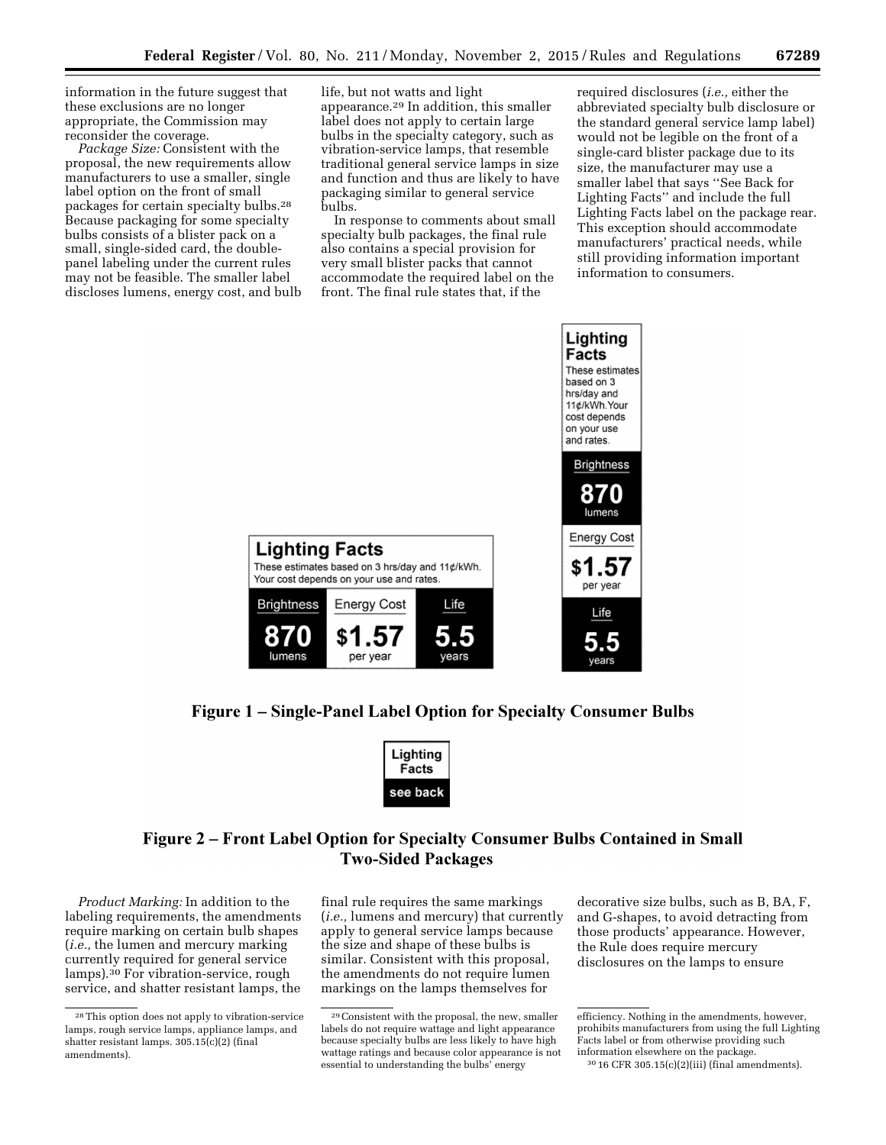information in the future suggest that these exclusions are no longer appropriate, the Commission may reconsider the coverage.

*Package Size:* Consistent with the proposal, the new requirements allow manufacturers to use a smaller, single label option on the front of small packages for certain specialty bulbs.28 Because packaging for some specialty bulbs consists of a blister pack on a small, single-sided card, the doublepanel labeling under the current rules may not be feasible. The smaller label discloses lumens, energy cost, and bulb life, but not watts and light appearance.29 In addition, this smaller label does not apply to certain large bulbs in the specialty category, such as vibration-service lamps, that resemble traditional general service lamps in size and function and thus are likely to have packaging similar to general service bulbs.

In response to comments about small specialty bulb packages, the final rule also contains a special provision for very small blister packs that cannot accommodate the required label on the front. The final rule states that, if the

required disclosures (*i.e.,* either the abbreviated specialty bulb disclosure or the standard general service lamp label) would not be legible on the front of a single-card blister package due to its size, the manufacturer may use a smaller label that says ''See Back for Lighting Facts'' and include the full Lighting Facts label on the package rear. This exception should accommodate manufacturers' practical needs, while still providing information important information to consumers.



# Figure 1 – Single-Panel Label Option for Specialty Consumer Bulbs



# Figure 2 – Front Label Option for Specialty Consumer Bulbs Contained in Small **Two-Sided Packages**

*Product Marking:* In addition to the labeling requirements, the amendments require marking on certain bulb shapes (*i.e.,* the lumen and mercury marking currently required for general service lamps).30 For vibration-service, rough service, and shatter resistant lamps, the

final rule requires the same markings (*i.e.,* lumens and mercury) that currently apply to general service lamps because the size and shape of these bulbs is similar. Consistent with this proposal, the amendments do not require lumen markings on the lamps themselves for

decorative size bulbs, such as B, BA, F, and G-shapes, to avoid detracting from those products' appearance. However, the Rule does require mercury disclosures on the lamps to ensure

<sup>28</sup>This option does not apply to vibration-service lamps, rough service lamps, appliance lamps, and shatter resistant lamps. 305.15(c)(2) (final amendments).

<sup>29</sup>Consistent with the proposal, the new, smaller labels do not require wattage and light appearance because specialty bulbs are less likely to have high wattage ratings and because color appearance is not essential to understanding the bulbs' energy

efficiency. Nothing in the amendments, however, prohibits manufacturers from using the full Lighting Facts label or from otherwise providing such information elsewhere on the package.

<sup>30</sup> 16 CFR 305.15(c)(2)(iii) (final amendments).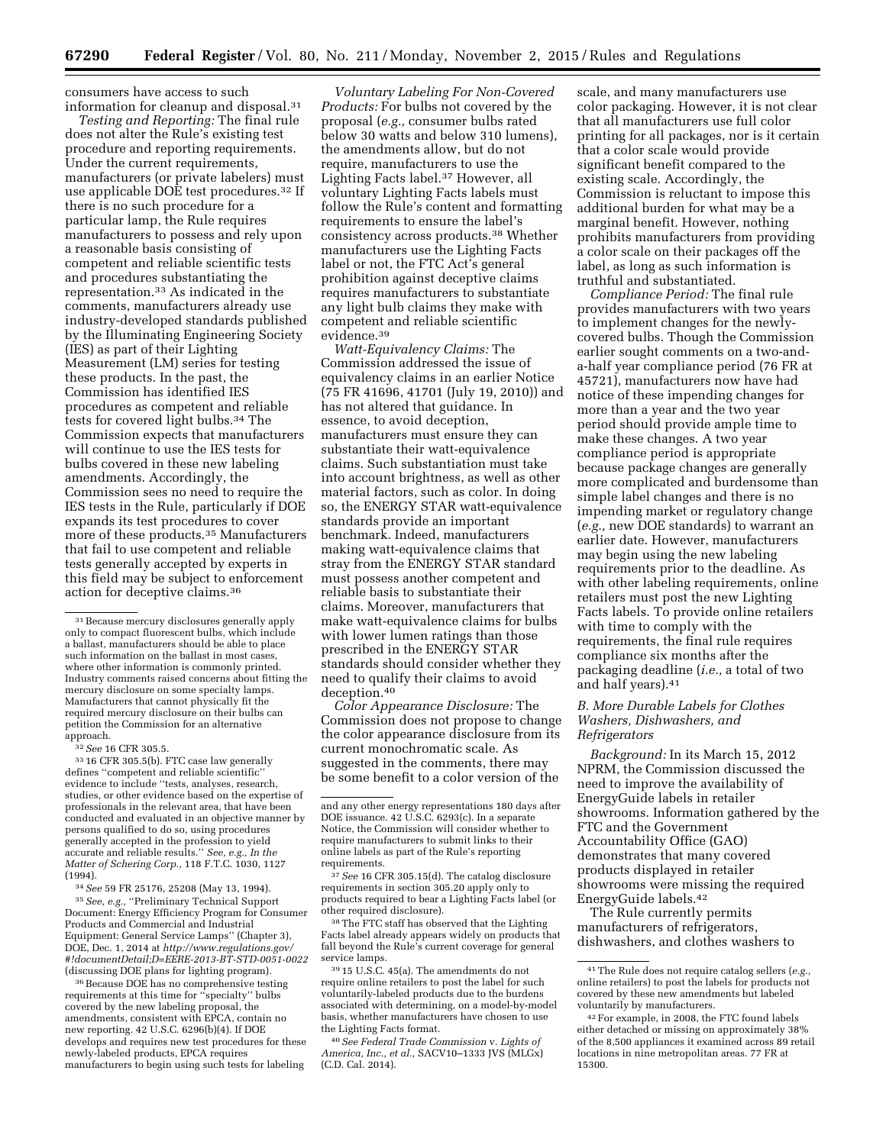consumers have access to such information for cleanup and disposal.31

*Testing and Reporting:* The final rule does not alter the Rule's existing test procedure and reporting requirements. Under the current requirements, manufacturers (or private labelers) must use applicable DOE test procedures.32 If there is no such procedure for a particular lamp, the Rule requires manufacturers to possess and rely upon a reasonable basis consisting of competent and reliable scientific tests and procedures substantiating the representation.33 As indicated in the comments, manufacturers already use industry-developed standards published by the Illuminating Engineering Society (IES) as part of their Lighting Measurement (LM) series for testing these products. In the past, the Commission has identified IES procedures as competent and reliable tests for covered light bulbs.34 The Commission expects that manufacturers will continue to use the IES tests for bulbs covered in these new labeling amendments. Accordingly, the Commission sees no need to require the IES tests in the Rule, particularly if DOE expands its test procedures to cover more of these products.35 Manufacturers that fail to use competent and reliable tests generally accepted by experts in this field may be subject to enforcement action for deceptive claims.36

32*See* 16 CFR 305.5.

33 16 CFR 305.5(b). FTC case law generally defines ''competent and reliable scientific'' evidence to include ''tests, analyses, research, studies, or other evidence based on the expertise of professionals in the relevant area, that have been conducted and evaluated in an objective manner by persons qualified to do so, using procedures generally accepted in the profession to yield accurate and reliable results.'' *See, e.g., In the Matter of Schering Corp.,* 118 F.T.C. 1030, 1127 (1994).

34*See* 59 FR 25176, 25208 (May 13, 1994). 35*See, e.g.,* ''Preliminary Technical Support Document: Energy Efficiency Program for Consumer Products and Commercial and Industrial Equipment: General Service Lamps'' (Chapter 3), DOE, Dec. 1, 2014 at *http://www.regulations.gov/ #!documentDetail;D=EERE-2013-BT-STD-0051-0022*  (discussing DOE plans for lighting program).

<sup>36</sup> Because DOE has no comprehensive testing requirements at this time for ''specialty'' bulbs covered by the new labeling proposal, the amendments, consistent with EPCA, contain no new reporting. 42 U.S.C. 6296(b)(4). If DOE develops and requires new test procedures for these newly-labeled products, EPCA requires manufacturers to begin using such tests for labeling

*Voluntary Labeling For Non-Covered Products:* For bulbs not covered by the proposal (*e.g.,* consumer bulbs rated below 30 watts and below 310 lumens), the amendments allow, but do not require, manufacturers to use the Lighting Facts label.37 However, all voluntary Lighting Facts labels must follow the Rule's content and formatting requirements to ensure the label's consistency across products.38 Whether manufacturers use the Lighting Facts label or not, the FTC Act's general prohibition against deceptive claims requires manufacturers to substantiate any light bulb claims they make with competent and reliable scientific evidence.39

*Watt-Equivalency Claims:* The Commission addressed the issue of equivalency claims in an earlier Notice (75 FR 41696, 41701 (July 19, 2010)) and has not altered that guidance. In essence, to avoid deception, manufacturers must ensure they can substantiate their watt-equivalence claims. Such substantiation must take into account brightness, as well as other material factors, such as color. In doing so, the ENERGY STAR watt-equivalence standards provide an important benchmark. Indeed, manufacturers making watt-equivalence claims that stray from the ENERGY STAR standard must possess another competent and reliable basis to substantiate their claims. Moreover, manufacturers that make watt-equivalence claims for bulbs with lower lumen ratings than those prescribed in the ENERGY STAR standards should consider whether they need to qualify their claims to avoid deception.40

*Color Appearance Disclosure:* The Commission does not propose to change the color appearance disclosure from its current monochromatic scale. As suggested in the comments, there may be some benefit to a color version of the

37*See* 16 CFR 305.15(d). The catalog disclosure requirements in section 305.20 apply only to products required to bear a Lighting Facts label (or other required disclosure).

38The FTC staff has observed that the Lighting Facts label already appears widely on products that fall beyond the Rule's current coverage for general service lamps.

39 15 U.S.C. 45(a). The amendments do not require online retailers to post the label for such voluntarily-labeled products due to the burdens associated with determining, on a model-by-model basis, whether manufacturers have chosen to use the Lighting Facts format.

40*See Federal Trade Commission* v. *Lights of America, Inc., et al.,* SACV10–1333 JVS (MLGx) (C.D. Cal. 2014).

scale, and many manufacturers use color packaging. However, it is not clear that all manufacturers use full color printing for all packages, nor is it certain that a color scale would provide significant benefit compared to the existing scale. Accordingly, the Commission is reluctant to impose this additional burden for what may be a marginal benefit. However, nothing prohibits manufacturers from providing a color scale on their packages off the label, as long as such information is truthful and substantiated.

*Compliance Period:* The final rule provides manufacturers with two years to implement changes for the newlycovered bulbs. Though the Commission earlier sought comments on a two-anda-half year compliance period (76 FR at 45721), manufacturers now have had notice of these impending changes for more than a year and the two year period should provide ample time to make these changes. A two year compliance period is appropriate because package changes are generally more complicated and burdensome than simple label changes and there is no impending market or regulatory change (*e.g.,* new DOE standards) to warrant an earlier date. However, manufacturers may begin using the new labeling requirements prior to the deadline. As with other labeling requirements, online retailers must post the new Lighting Facts labels. To provide online retailers with time to comply with the requirements, the final rule requires compliance six months after the packaging deadline (*i.e.,* a total of two and half years).41

## *B. More Durable Labels for Clothes Washers, Dishwashers, and Refrigerators*

*Background:* In its March 15, 2012 NPRM, the Commission discussed the need to improve the availability of EnergyGuide labels in retailer showrooms. Information gathered by the FTC and the Government Accountability Office (GAO) demonstrates that many covered products displayed in retailer showrooms were missing the required EnergyGuide labels.42

The Rule currently permits manufacturers of refrigerators, dishwashers, and clothes washers to

<sup>31</sup>Because mercury disclosures generally apply only to compact fluorescent bulbs, which include a ballast, manufacturers should be able to place such information on the ballast in most cases, where other information is commonly printed. Industry comments raised concerns about fitting the mercury disclosure on some specialty lamps. Manufacturers that cannot physically fit the required mercury disclosure on their bulbs can petition the Commission for an alternative approach.

and any other energy representations 180 days after DOE issuance. 42 U.S.C. 6293(c). In a separate Notice, the Commission will consider whether to require manufacturers to submit links to their online labels as part of the Rule's reporting requirements.

<sup>41</sup>The Rule does not require catalog sellers (*e.g.,*  online retailers) to post the labels for products not covered by these new amendments but labeled voluntarily by manufacturers.

<sup>42</sup>For example, in 2008, the FTC found labels either detached or missing on approximately 38% of the 8,500 appliances it examined across 89 retail locations in nine metropolitan areas. 77 FR at 15300.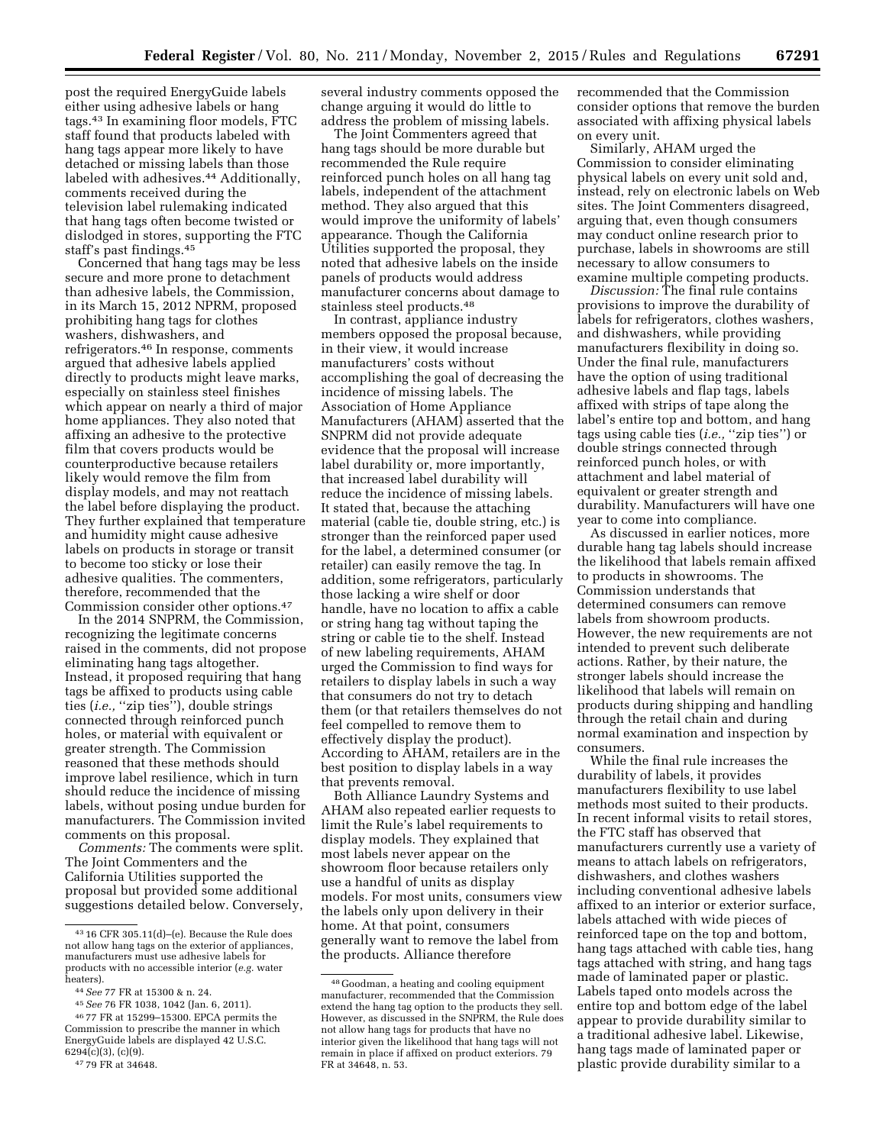post the required EnergyGuide labels either using adhesive labels or hang tags.43 In examining floor models, FTC staff found that products labeled with hang tags appear more likely to have detached or missing labels than those labeled with adhesives.<sup>44</sup> Additionally, comments received during the television label rulemaking indicated that hang tags often become twisted or dislodged in stores, supporting the FTC staff's past findings.45

Concerned that hang tags may be less secure and more prone to detachment than adhesive labels, the Commission, in its March 15, 2012 NPRM, proposed prohibiting hang tags for clothes washers, dishwashers, and refrigerators.46 In response, comments argued that adhesive labels applied directly to products might leave marks, especially on stainless steel finishes which appear on nearly a third of major home appliances. They also noted that affixing an adhesive to the protective film that covers products would be counterproductive because retailers likely would remove the film from display models, and may not reattach the label before displaying the product. They further explained that temperature and humidity might cause adhesive labels on products in storage or transit to become too sticky or lose their adhesive qualities. The commenters, therefore, recommended that the Commission consider other options.47

In the 2014 SNPRM, the Commission, recognizing the legitimate concerns raised in the comments, did not propose eliminating hang tags altogether. Instead, it proposed requiring that hang tags be affixed to products using cable ties (*i.e.*, "zip ties"), double strings connected through reinforced punch holes, or material with equivalent or greater strength. The Commission reasoned that these methods should improve label resilience, which in turn should reduce the incidence of missing labels, without posing undue burden for manufacturers. The Commission invited comments on this proposal.

*Comments:* The comments were split. The Joint Commenters and the California Utilities supported the proposal but provided some additional suggestions detailed below. Conversely, several industry comments opposed the change arguing it would do little to address the problem of missing labels.

The Joint Commenters agreed that hang tags should be more durable but recommended the Rule require reinforced punch holes on all hang tag labels, independent of the attachment method. They also argued that this would improve the uniformity of labels' appearance. Though the California Utilities supported the proposal, they noted that adhesive labels on the inside panels of products would address manufacturer concerns about damage to stainless steel products.48

In contrast, appliance industry members opposed the proposal because, in their view, it would increase manufacturers' costs without accomplishing the goal of decreasing the incidence of missing labels. The Association of Home Appliance Manufacturers (AHAM) asserted that the SNPRM did not provide adequate evidence that the proposal will increase label durability or, more importantly, that increased label durability will reduce the incidence of missing labels. It stated that, because the attaching material (cable tie, double string, etc.) is stronger than the reinforced paper used for the label, a determined consumer (or retailer) can easily remove the tag. In addition, some refrigerators, particularly those lacking a wire shelf or door handle, have no location to affix a cable or string hang tag without taping the string or cable tie to the shelf. Instead of new labeling requirements, AHAM urged the Commission to find ways for retailers to display labels in such a way that consumers do not try to detach them (or that retailers themselves do not feel compelled to remove them to effectively display the product). According to AHAM, retailers are in the best position to display labels in a way that prevents removal.

Both Alliance Laundry Systems and AHAM also repeated earlier requests to limit the Rule's label requirements to display models. They explained that most labels never appear on the showroom floor because retailers only use a handful of units as display models. For most units, consumers view the labels only upon delivery in their home. At that point, consumers generally want to remove the label from the products. Alliance therefore

recommended that the Commission consider options that remove the burden associated with affixing physical labels on every unit.

Similarly, AHAM urged the Commission to consider eliminating physical labels on every unit sold and, instead, rely on electronic labels on Web sites. The Joint Commenters disagreed, arguing that, even though consumers may conduct online research prior to purchase, labels in showrooms are still necessary to allow consumers to examine multiple competing products.

*Discussion:* The final rule contains provisions to improve the durability of labels for refrigerators, clothes washers, and dishwashers, while providing manufacturers flexibility in doing so. Under the final rule, manufacturers have the option of using traditional adhesive labels and flap tags, labels affixed with strips of tape along the label's entire top and bottom, and hang tags using cable ties (*i.e.,* ''zip ties'') or double strings connected through reinforced punch holes, or with attachment and label material of equivalent or greater strength and durability. Manufacturers will have one year to come into compliance.

As discussed in earlier notices, more durable hang tag labels should increase the likelihood that labels remain affixed to products in showrooms. The Commission understands that determined consumers can remove labels from showroom products. However, the new requirements are not intended to prevent such deliberate actions. Rather, by their nature, the stronger labels should increase the likelihood that labels will remain on products during shipping and handling through the retail chain and during normal examination and inspection by consumers.

While the final rule increases the durability of labels, it provides manufacturers flexibility to use label methods most suited to their products. In recent informal visits to retail stores, the FTC staff has observed that manufacturers currently use a variety of means to attach labels on refrigerators, dishwashers, and clothes washers including conventional adhesive labels affixed to an interior or exterior surface, labels attached with wide pieces of reinforced tape on the top and bottom, hang tags attached with cable ties, hang tags attached with string, and hang tags made of laminated paper or plastic. Labels taped onto models across the entire top and bottom edge of the label appear to provide durability similar to a traditional adhesive label. Likewise, hang tags made of laminated paper or plastic provide durability similar to a

<sup>43</sup> 16 CFR 305.11(d)–(e). Because the Rule does not allow hang tags on the exterior of appliances, manufacturers must use adhesive labels for products with no accessible interior (*e.g.* water

heaters). 44*See* 77 FR at 15300 & n. 24. 45*See* 76 FR 1038, 1042 (Jan. 6, 2011).

<sup>46</sup> 77 FR at 15299–15300. EPCA permits the Commission to prescribe the manner in which EnergyGuide labels are displayed 42 U.S.C.  $6294(c)(3)$ ,  $(c)(9)$ .

<sup>47</sup> 79 FR at 34648.

<sup>48</sup> Goodman, a heating and cooling equipment manufacturer, recommended that the Commission extend the hang tag option to the products they sell. However, as discussed in the SNPRM, the Rule does not allow hang tags for products that have no interior given the likelihood that hang tags will not remain in place if affixed on product exteriors. 79 FR at 34648, n. 53.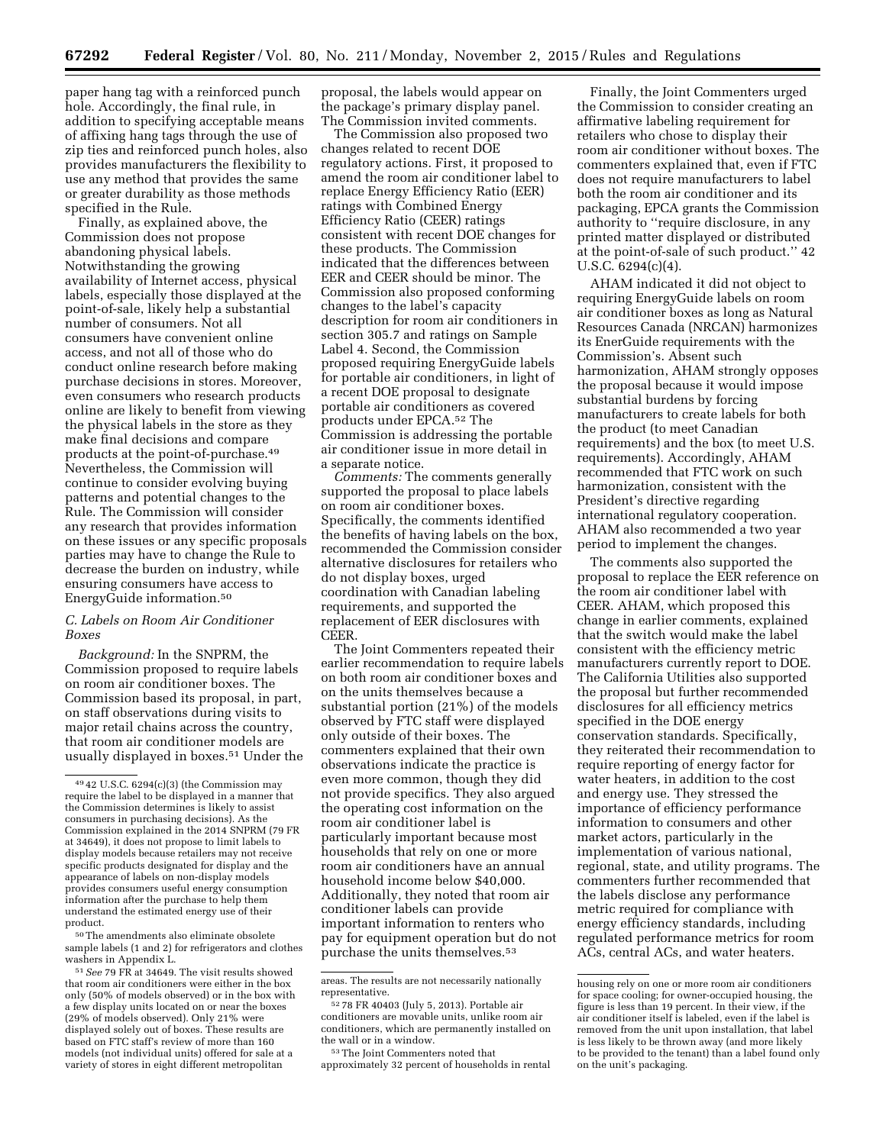paper hang tag with a reinforced punch hole. Accordingly, the final rule, in addition to specifying acceptable means of affixing hang tags through the use of zip ties and reinforced punch holes, also provides manufacturers the flexibility to use any method that provides the same or greater durability as those methods specified in the Rule.

Finally, as explained above, the Commission does not propose abandoning physical labels. Notwithstanding the growing availability of Internet access, physical labels, especially those displayed at the point-of-sale, likely help a substantial number of consumers. Not all consumers have convenient online access, and not all of those who do conduct online research before making purchase decisions in stores. Moreover, even consumers who research products online are likely to benefit from viewing the physical labels in the store as they make final decisions and compare products at the point-of-purchase.49 Nevertheless, the Commission will continue to consider evolving buying patterns and potential changes to the Rule. The Commission will consider any research that provides information on these issues or any specific proposals parties may have to change the Rule to decrease the burden on industry, while ensuring consumers have access to EnergyGuide information.50

### *C. Labels on Room Air Conditioner Boxes*

*Background:* In the SNPRM, the Commission proposed to require labels on room air conditioner boxes. The Commission based its proposal, in part, on staff observations during visits to major retail chains across the country, that room air conditioner models are usually displayed in boxes.51 Under the

50The amendments also eliminate obsolete sample labels (1 and 2) for refrigerators and clothes washers in Appendix L.

51*See* 79 FR at 34649. The visit results showed that room air conditioners were either in the box only (50% of models observed) or in the box with a few display units located on or near the boxes (29% of models observed). Only 21% were displayed solely out of boxes. These results are based on FTC staff's review of more than 160 models (not individual units) offered for sale at a variety of stores in eight different metropolitan

proposal, the labels would appear on the package's primary display panel. The Commission invited comments.

The Commission also proposed two changes related to recent DOE regulatory actions. First, it proposed to amend the room air conditioner label to replace Energy Efficiency Ratio (EER) ratings with Combined Energy Efficiency Ratio (CEER) ratings consistent with recent DOE changes for these products. The Commission indicated that the differences between EER and CEER should be minor. The Commission also proposed conforming changes to the label's capacity description for room air conditioners in section 305.7 and ratings on Sample Label 4. Second, the Commission proposed requiring EnergyGuide labels for portable air conditioners, in light of a recent DOE proposal to designate portable air conditioners as covered products under EPCA.52 The Commission is addressing the portable air conditioner issue in more detail in a separate notice.

*Comments:* The comments generally supported the proposal to place labels on room air conditioner boxes. Specifically, the comments identified the benefits of having labels on the box, recommended the Commission consider alternative disclosures for retailers who do not display boxes, urged coordination with Canadian labeling requirements, and supported the replacement of EER disclosures with CEER.

The Joint Commenters repeated their earlier recommendation to require labels on both room air conditioner boxes and on the units themselves because a substantial portion (21%) of the models observed by FTC staff were displayed only outside of their boxes. The commenters explained that their own observations indicate the practice is even more common, though they did not provide specifics. They also argued the operating cost information on the room air conditioner label is particularly important because most households that rely on one or more room air conditioners have an annual household income below \$40,000. Additionally, they noted that room air conditioner labels can provide important information to renters who pay for equipment operation but do not purchase the units themselves.53

Finally, the Joint Commenters urged the Commission to consider creating an affirmative labeling requirement for retailers who chose to display their room air conditioner without boxes. The commenters explained that, even if FTC does not require manufacturers to label both the room air conditioner and its packaging, EPCA grants the Commission authority to ''require disclosure, in any printed matter displayed or distributed at the point-of-sale of such product.'' 42 U.S.C. 6294(c)(4).

AHAM indicated it did not object to requiring EnergyGuide labels on room air conditioner boxes as long as Natural Resources Canada (NRCAN) harmonizes its EnerGuide requirements with the Commission's. Absent such harmonization, AHAM strongly opposes the proposal because it would impose substantial burdens by forcing manufacturers to create labels for both the product (to meet Canadian requirements) and the box (to meet U.S. requirements). Accordingly, AHAM recommended that FTC work on such harmonization, consistent with the President's directive regarding international regulatory cooperation. AHAM also recommended a two year period to implement the changes.

The comments also supported the proposal to replace the EER reference on the room air conditioner label with CEER. AHAM, which proposed this change in earlier comments, explained that the switch would make the label consistent with the efficiency metric manufacturers currently report to DOE. The California Utilities also supported the proposal but further recommended disclosures for all efficiency metrics specified in the DOE energy conservation standards. Specifically, they reiterated their recommendation to require reporting of energy factor for water heaters, in addition to the cost and energy use. They stressed the importance of efficiency performance information to consumers and other market actors, particularly in the implementation of various national, regional, state, and utility programs. The commenters further recommended that the labels disclose any performance metric required for compliance with energy efficiency standards, including regulated performance metrics for room ACs, central ACs, and water heaters.

<sup>49</sup> 42 U.S.C. 6294(c)(3) (the Commission may require the label to be displayed in a manner that the Commission determines is likely to assist consumers in purchasing decisions). As the Commission explained in the 2014 SNPRM (79 FR at 34649), it does not propose to limit labels to display models because retailers may not receive specific products designated for display and the appearance of labels on non-display models provides consumers useful energy consumption information after the purchase to help them understand the estimated energy use of their product.

areas. The results are not necessarily nationally representative.

<sup>52</sup> 78 FR 40403 (July 5, 2013). Portable air conditioners are movable units, unlike room air conditioners, which are permanently installed on the wall or in a window.

<sup>53</sup>The Joint Commenters noted that approximately 32 percent of households in rental

housing rely on one or more room air conditioners for space cooling; for owner-occupied housing, the figure is less than 19 percent. In their view, if the air conditioner itself is labeled, even if the label is removed from the unit upon installation, that label is less likely to be thrown away (and more likely to be provided to the tenant) than a label found only on the unit's packaging.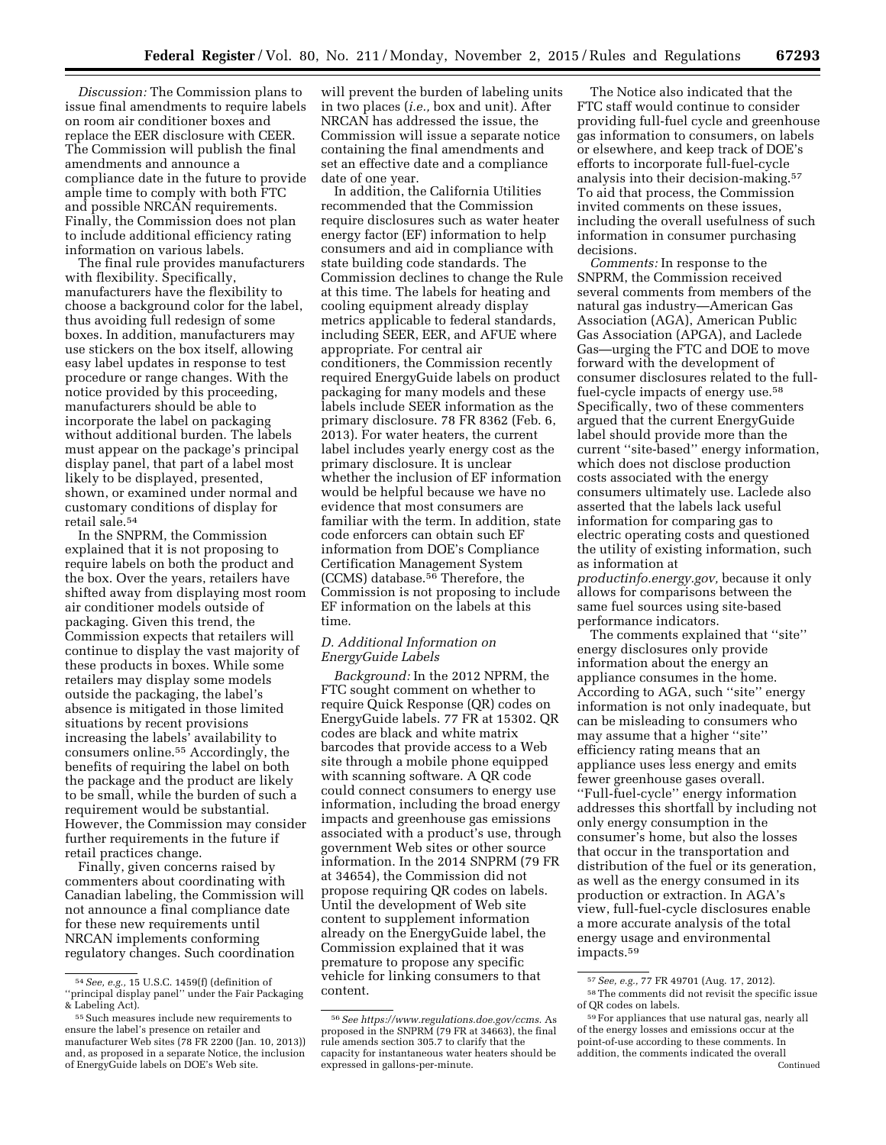*Discussion:* The Commission plans to issue final amendments to require labels on room air conditioner boxes and replace the EER disclosure with CEER. The Commission will publish the final amendments and announce a compliance date in the future to provide ample time to comply with both FTC and possible NRCAN requirements. Finally, the Commission does not plan to include additional efficiency rating information on various labels.

The final rule provides manufacturers with flexibility. Specifically, manufacturers have the flexibility to choose a background color for the label, thus avoiding full redesign of some boxes. In addition, manufacturers may use stickers on the box itself, allowing easy label updates in response to test procedure or range changes. With the notice provided by this proceeding, manufacturers should be able to incorporate the label on packaging without additional burden. The labels must appear on the package's principal display panel, that part of a label most likely to be displayed, presented, shown, or examined under normal and customary conditions of display for retail sale.54

In the SNPRM, the Commission explained that it is not proposing to require labels on both the product and the box. Over the years, retailers have shifted away from displaying most room air conditioner models outside of packaging. Given this trend, the Commission expects that retailers will continue to display the vast majority of these products in boxes. While some retailers may display some models outside the packaging, the label's absence is mitigated in those limited situations by recent provisions increasing the labels' availability to consumers online.55 Accordingly, the benefits of requiring the label on both the package and the product are likely to be small, while the burden of such a requirement would be substantial. However, the Commission may consider further requirements in the future if retail practices change.

Finally, given concerns raised by commenters about coordinating with Canadian labeling, the Commission will not announce a final compliance date for these new requirements until NRCAN implements conforming regulatory changes. Such coordination

will prevent the burden of labeling units in two places (*i.e.,* box and unit). After NRCAN has addressed the issue, the Commission will issue a separate notice containing the final amendments and set an effective date and a compliance date of one year.

In addition, the California Utilities recommended that the Commission require disclosures such as water heater energy factor (EF) information to help consumers and aid in compliance with state building code standards. The Commission declines to change the Rule at this time. The labels for heating and cooling equipment already display metrics applicable to federal standards, including SEER, EER, and AFUE where appropriate. For central air conditioners, the Commission recently required EnergyGuide labels on product packaging for many models and these labels include SEER information as the primary disclosure. 78 FR 8362 (Feb. 6, 2013). For water heaters, the current label includes yearly energy cost as the primary disclosure. It is unclear whether the inclusion of EF information would be helpful because we have no evidence that most consumers are familiar with the term. In addition, state code enforcers can obtain such EF information from DOE's Compliance Certification Management System (CCMS) database.56 Therefore, the Commission is not proposing to include EF information on the labels at this time.

## *D. Additional Information on EnergyGuide Labels*

*Background:* In the 2012 NPRM, the FTC sought comment on whether to require Quick Response (QR) codes on EnergyGuide labels. 77 FR at 15302. QR codes are black and white matrix barcodes that provide access to a Web site through a mobile phone equipped with scanning software. A QR code could connect consumers to energy use information, including the broad energy impacts and greenhouse gas emissions associated with a product's use, through government Web sites or other source information. In the 2014 SNPRM (79 FR at 34654), the Commission did not propose requiring QR codes on labels. Until the development of Web site content to supplement information already on the EnergyGuide label, the Commission explained that it was premature to propose any specific vehicle for linking consumers to that content.

The Notice also indicated that the FTC staff would continue to consider providing full-fuel cycle and greenhouse gas information to consumers, on labels or elsewhere, and keep track of DOE's efforts to incorporate full-fuel-cycle analysis into their decision-making.57 To aid that process, the Commission invited comments on these issues, including the overall usefulness of such information in consumer purchasing decisions.

*Comments:* In response to the SNPRM, the Commission received several comments from members of the natural gas industry—American Gas Association (AGA), American Public Gas Association (APGA), and Laclede Gas—urging the FTC and DOE to move forward with the development of consumer disclosures related to the fullfuel-cycle impacts of energy use.58 Specifically, two of these commenters argued that the current EnergyGuide label should provide more than the current ''site-based'' energy information, which does not disclose production costs associated with the energy consumers ultimately use. Laclede also asserted that the labels lack useful information for comparing gas to electric operating costs and questioned the utility of existing information, such as information at *productinfo.energy.gov,* because it only allows for comparisons between the

same fuel sources using site-based performance indicators.

The comments explained that ''site'' energy disclosures only provide information about the energy an appliance consumes in the home. According to AGA, such ''site'' energy information is not only inadequate, but can be misleading to consumers who may assume that a higher ''site'' efficiency rating means that an appliance uses less energy and emits fewer greenhouse gases overall. ''Full-fuel-cycle'' energy information addresses this shortfall by including not only energy consumption in the consumer's home, but also the losses that occur in the transportation and distribution of the fuel or its generation, as well as the energy consumed in its production or extraction. In AGA's view, full-fuel-cycle disclosures enable a more accurate analysis of the total energy usage and environmental impacts.59

<sup>54</sup>*See, e.g.,* 15 U.S.C. 1459(f) (definition of ''principal display panel'' under the Fair Packaging & Labeling Act).

<sup>55</sup>Such measures include new requirements to ensure the label's presence on retailer and manufacturer Web sites (78 FR 2200 (Jan. 10, 2013)) and, as proposed in a separate Notice, the inclusion of EnergyGuide labels on DOE's Web site.

<sup>56</sup>*See https://www.regulations.doe.gov/ccms.* As proposed in the SNPRM (79 FR at 34663), the final rule amends section 305.7 to clarify that the capacity for instantaneous water heaters should be expressed in gallons-per-minute.

<sup>57</sup>*See, e.g.,* 77 FR 49701 (Aug. 17, 2012). 58The comments did not revisit the specific issue of QR codes on labels.

<sup>59</sup>For appliances that use natural gas, nearly all of the energy losses and emissions occur at the point-of-use according to these comments. In addition, the comments indicated the overall Continued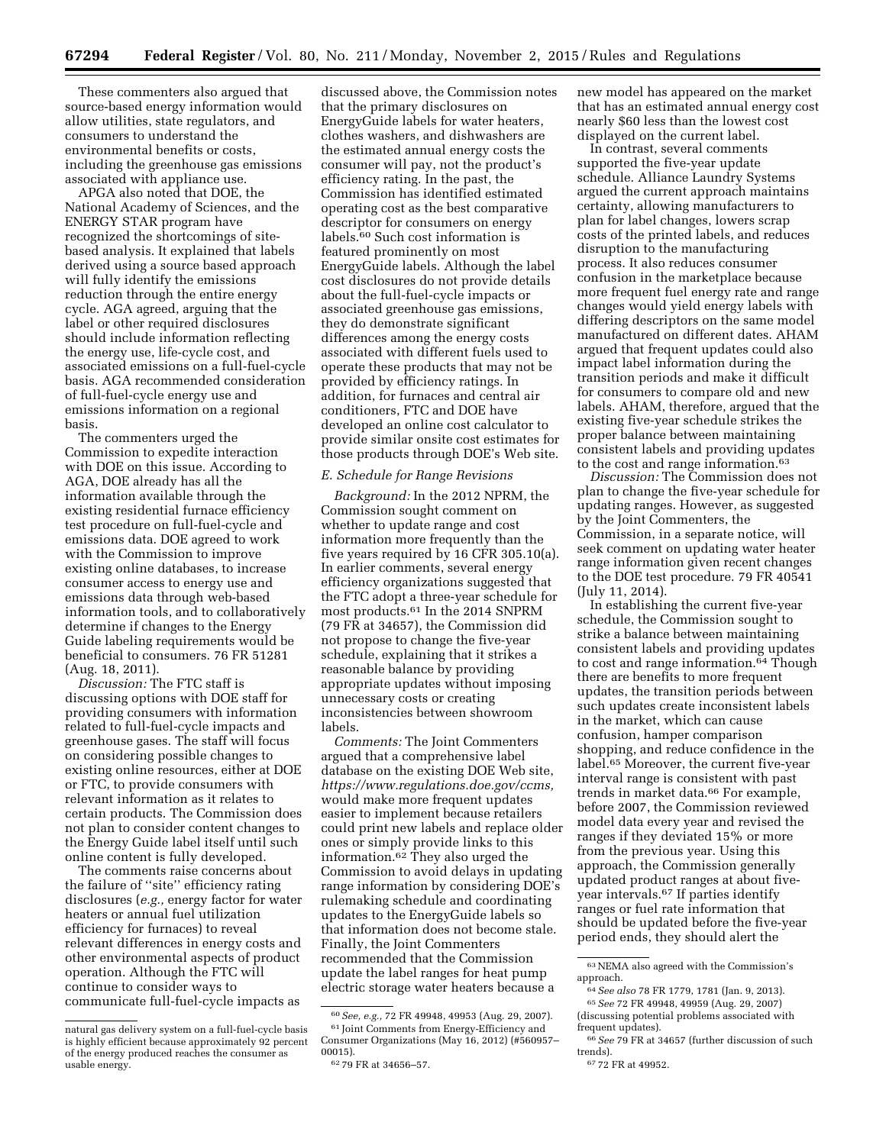These commenters also argued that source-based energy information would allow utilities, state regulators, and consumers to understand the environmental benefits or costs, including the greenhouse gas emissions associated with appliance use.

APGA also noted that DOE, the National Academy of Sciences, and the ENERGY STAR program have recognized the shortcomings of sitebased analysis. It explained that labels derived using a source based approach will fully identify the emissions reduction through the entire energy cycle. AGA agreed, arguing that the label or other required disclosures should include information reflecting the energy use, life-cycle cost, and associated emissions on a full-fuel-cycle basis. AGA recommended consideration of full-fuel-cycle energy use and emissions information on a regional basis.

The commenters urged the Commission to expedite interaction with DOE on this issue. According to AGA, DOE already has all the information available through the existing residential furnace efficiency test procedure on full-fuel-cycle and emissions data. DOE agreed to work with the Commission to improve existing online databases, to increase consumer access to energy use and emissions data through web-based information tools, and to collaboratively determine if changes to the Energy Guide labeling requirements would be beneficial to consumers. 76 FR 51281 (Aug. 18, 2011).

*Discussion:* The FTC staff is discussing options with DOE staff for providing consumers with information related to full-fuel-cycle impacts and greenhouse gases. The staff will focus on considering possible changes to existing online resources, either at DOE or FTC, to provide consumers with relevant information as it relates to certain products. The Commission does not plan to consider content changes to the Energy Guide label itself until such online content is fully developed.

The comments raise concerns about the failure of ''site'' efficiency rating disclosures (*e.g.,* energy factor for water heaters or annual fuel utilization efficiency for furnaces) to reveal relevant differences in energy costs and other environmental aspects of product operation. Although the FTC will continue to consider ways to communicate full-fuel-cycle impacts as

discussed above, the Commission notes that the primary disclosures on EnergyGuide labels for water heaters, clothes washers, and dishwashers are the estimated annual energy costs the consumer will pay, not the product's efficiency rating. In the past, the Commission has identified estimated operating cost as the best comparative descriptor for consumers on energy labels.60 Such cost information is featured prominently on most EnergyGuide labels. Although the label cost disclosures do not provide details about the full-fuel-cycle impacts or associated greenhouse gas emissions, they do demonstrate significant differences among the energy costs associated with different fuels used to operate these products that may not be provided by efficiency ratings. In addition, for furnaces and central air conditioners, FTC and DOE have developed an online cost calculator to provide similar onsite cost estimates for those products through DOE's Web site.

#### *E. Schedule for Range Revisions*

*Background:* In the 2012 NPRM, the Commission sought comment on whether to update range and cost information more frequently than the five years required by 16 CFR 305.10(a). In earlier comments, several energy efficiency organizations suggested that the FTC adopt a three-year schedule for most products.61 In the 2014 SNPRM (79 FR at 34657), the Commission did not propose to change the five-year schedule, explaining that it strikes a reasonable balance by providing appropriate updates without imposing unnecessary costs or creating inconsistencies between showroom labels.

*Comments:* The Joint Commenters argued that a comprehensive label database on the existing DOE Web site, *https://www.regulations.doe.gov/ccms,*  would make more frequent updates easier to implement because retailers could print new labels and replace older ones or simply provide links to this information.62 They also urged the Commission to avoid delays in updating range information by considering DOE's rulemaking schedule and coordinating updates to the EnergyGuide labels so that information does not become stale. Finally, the Joint Commenters recommended that the Commission update the label ranges for heat pump electric storage water heaters because a

new model has appeared on the market that has an estimated annual energy cost nearly \$60 less than the lowest cost displayed on the current label.

In contrast, several comments supported the five-year update schedule. Alliance Laundry Systems argued the current approach maintains certainty, allowing manufacturers to plan for label changes, lowers scrap costs of the printed labels, and reduces disruption to the manufacturing process. It also reduces consumer confusion in the marketplace because more frequent fuel energy rate and range changes would yield energy labels with differing descriptors on the same model manufactured on different dates. AHAM argued that frequent updates could also impact label information during the transition periods and make it difficult for consumers to compare old and new labels. AHAM, therefore, argued that the existing five-year schedule strikes the proper balance between maintaining consistent labels and providing updates to the cost and range information.63

*Discussion:* The Commission does not plan to change the five-year schedule for updating ranges. However, as suggested by the Joint Commenters, the Commission, in a separate notice, will seek comment on updating water heater range information given recent changes to the DOE test procedure. 79 FR 40541 (July 11, 2014).

In establishing the current five-year schedule, the Commission sought to strike a balance between maintaining consistent labels and providing updates to cost and range information.<sup>64</sup> Though there are benefits to more frequent updates, the transition periods between such updates create inconsistent labels in the market, which can cause confusion, hamper comparison shopping, and reduce confidence in the label.<sup>65</sup> Moreover, the current five-year interval range is consistent with past trends in market data.66 For example, before 2007, the Commission reviewed model data every year and revised the ranges if they deviated 15% or more from the previous year. Using this approach, the Commission generally updated product ranges at about fiveyear intervals.67 If parties identify ranges or fuel rate information that should be updated before the five-year period ends, they should alert the

natural gas delivery system on a full-fuel-cycle basis is highly efficient because approximately 92 percent of the energy produced reaches the consumer as usable energy.

<sup>60</sup>*See, e.g.,* 72 FR 49948, 49953 (Aug. 29, 2007).  $^{61}$  Joint Comments from Energy-Efficiency and Consumer Organizations (May 16, 2012) (#560957– 00015).

<sup>62</sup> 79 FR at 34656–57.

 $^{63}\rm{NEMA}$  also agreed with the Commission's approach.

<sup>64</sup>*See also* 78 FR 1779, 1781 (Jan. 9, 2013). 65*See* 72 FR 49948, 49959 (Aug. 29, 2007) (discussing potential problems associated with frequent updates).

<sup>66</sup>*See* 79 FR at 34657 (further discussion of such trends).

<sup>67</sup> 72 FR at 49952.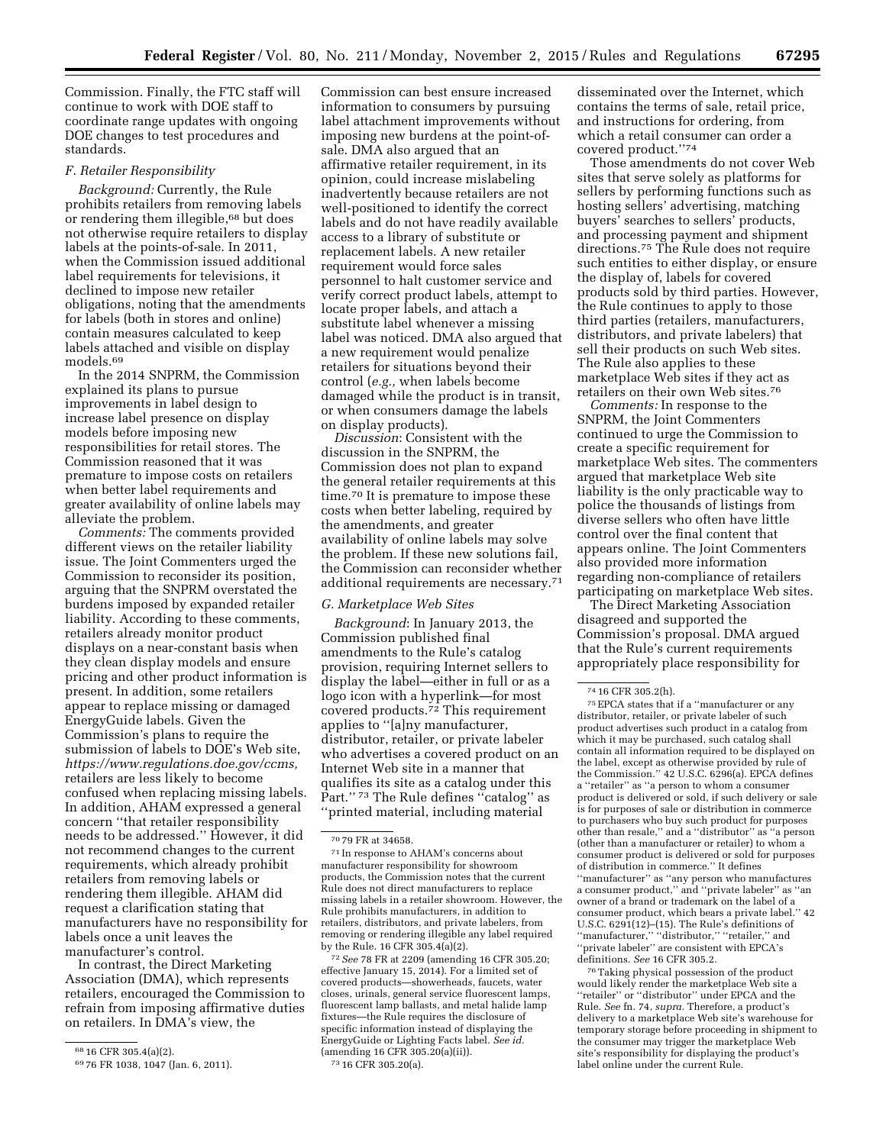Commission. Finally, the FTC staff will continue to work with DOE staff to coordinate range updates with ongoing DOE changes to test procedures and standards.

#### *F. Retailer Responsibility*

*Background:* Currently, the Rule prohibits retailers from removing labels or rendering them illegible,<sup>68</sup> but does not otherwise require retailers to display labels at the points-of-sale. In 2011, when the Commission issued additional label requirements for televisions, it declined to impose new retailer obligations, noting that the amendments for labels (both in stores and online) contain measures calculated to keep labels attached and visible on display models.<sup>69</sup>

In the 2014 SNPRM, the Commission explained its plans to pursue improvements in label design to increase label presence on display models before imposing new responsibilities for retail stores. The Commission reasoned that it was premature to impose costs on retailers when better label requirements and greater availability of online labels may alleviate the problem.

*Comments:* The comments provided different views on the retailer liability issue. The Joint Commenters urged the Commission to reconsider its position, arguing that the SNPRM overstated the burdens imposed by expanded retailer liability. According to these comments, retailers already monitor product displays on a near-constant basis when they clean display models and ensure pricing and other product information is present. In addition, some retailers appear to replace missing or damaged EnergyGuide labels. Given the Commission's plans to require the submission of labels to DOE's Web site, *https://www.regulations.doe.gov/ccms,*  retailers are less likely to become confused when replacing missing labels. In addition, AHAM expressed a general concern ''that retailer responsibility needs to be addressed.'' However, it did not recommend changes to the current requirements, which already prohibit retailers from removing labels or rendering them illegible. AHAM did request a clarification stating that manufacturers have no responsibility for labels once a unit leaves the manufacturer's control.

In contrast, the Direct Marketing Association (DMA), which represents retailers, encouraged the Commission to refrain from imposing affirmative duties on retailers. In DMA's view, the

Commission can best ensure increased information to consumers by pursuing label attachment improvements without imposing new burdens at the point-ofsale. DMA also argued that an affirmative retailer requirement, in its opinion, could increase mislabeling inadvertently because retailers are not well-positioned to identify the correct labels and do not have readily available access to a library of substitute or replacement labels. A new retailer requirement would force sales personnel to halt customer service and verify correct product labels, attempt to locate proper labels, and attach a substitute label whenever a missing label was noticed. DMA also argued that a new requirement would penalize retailers for situations beyond their control (*e.g.,* when labels become damaged while the product is in transit, or when consumers damage the labels on display products).

*Discussion*: Consistent with the discussion in the SNPRM, the Commission does not plan to expand the general retailer requirements at this time.70 It is premature to impose these costs when better labeling, required by the amendments, and greater availability of online labels may solve the problem. If these new solutions fail, the Commission can reconsider whether additional requirements are necessary.71

#### *G. Marketplace Web Sites*

*Background*: In January 2013, the Commission published final amendments to the Rule's catalog provision, requiring Internet sellers to display the label—either in full or as a logo icon with a hyperlink—for most covered products.72 This requirement applies to ''[a]ny manufacturer, distributor, retailer, or private labeler who advertises a covered product on an Internet Web site in a manner that qualifies its site as a catalog under this Part."<sup>73</sup> The Rule defines "catalog" as ''printed material, including material

72*See* 78 FR at 2209 (amending 16 CFR 305.20; effective January 15, 2014). For a limited set of covered products—showerheads, faucets, water closes, urinals, general service fluorescent lamps, fluorescent lamp ballasts, and metal halide lamp fixtures—the Rule requires the disclosure of specific information instead of displaying the EnergyGuide or Lighting Facts label. *See id.*  (amending 16 CFR 305.20(a)(ii)). 73 16 CFR 305.20(a).

disseminated over the Internet, which contains the terms of sale, retail price, and instructions for ordering, from which a retail consumer can order a covered product.''74

Those amendments do not cover Web sites that serve solely as platforms for sellers by performing functions such as hosting sellers' advertising, matching buyers' searches to sellers' products, and processing payment and shipment directions.<sup>75</sup> The Rule does not require such entities to either display, or ensure the display of, labels for covered products sold by third parties. However, the Rule continues to apply to those third parties (retailers, manufacturers, distributors, and private labelers) that sell their products on such Web sites. The Rule also applies to these marketplace Web sites if they act as retailers on their own Web sites.76

*Comments:* In response to the SNPRM, the Joint Commenters continued to urge the Commission to create a specific requirement for marketplace Web sites. The commenters argued that marketplace Web site liability is the only practicable way to police the thousands of listings from diverse sellers who often have little control over the final content that appears online. The Joint Commenters also provided more information regarding non-compliance of retailers participating on marketplace Web sites.

The Direct Marketing Association disagreed and supported the Commission's proposal. DMA argued that the Rule's current requirements appropriately place responsibility for

76Taking physical possession of the product would likely render the marketplace Web site a "retailer" or "distributor" under EPCA and the Rule. *See* fn. 74, *supra.* Therefore, a product's delivery to a marketplace Web site's warehouse for temporary storage before proceeding in shipment to the consumer may trigger the marketplace Web site's responsibility for displaying the product's label online under the current Rule.

<sup>68</sup> 16 CFR 305.4(a)(2).

<sup>69</sup> 76 FR 1038, 1047 (Jan. 6, 2011).

<sup>70</sup> 79 FR at 34658.

<sup>71</sup> In response to AHAM's concerns about manufacturer responsibility for showroom products, the Commission notes that the current Rule does not direct manufacturers to replace missing labels in a retailer showroom. However, the Rule prohibits manufacturers, in addition to retailers, distributors, and private labelers, from removing or rendering illegible any label required by the Rule. 16 CFR 305.4(a)(2).

<sup>74</sup> 16 CFR 305.2(h).

<sup>75</sup>EPCA states that if a ''manufacturer or any distributor, retailer, or private labeler of such product advertises such product in a catalog from which it may be purchased, such catalog shall contain all information required to be displayed on the label, except as otherwise provided by rule of the Commission.'' 42 U.S.C. 6296(a). EPCA defines a ''retailer'' as ''a person to whom a consumer product is delivered or sold, if such delivery or sale is for purposes of sale or distribution in commerce to purchasers who buy such product for purposes other than resale,'' and a ''distributor'' as ''a person (other than a manufacturer or retailer) to whom a consumer product is delivered or sold for purposes of distribution in commerce.'' It defines ''manufacturer'' as ''any person who manufactures a consumer product,'' and ''private labeler'' as ''an owner of a brand or trademark on the label of a consumer product, which bears a private label.'' 42 U.S.C. 6291(12)–(15). The Rule's definitions of ''manufacturer,'' ''distributor,'' ''retailer,'' and ''private labeler'' are consistent with EPCA's definitions. *See* 16 CFR 305.2.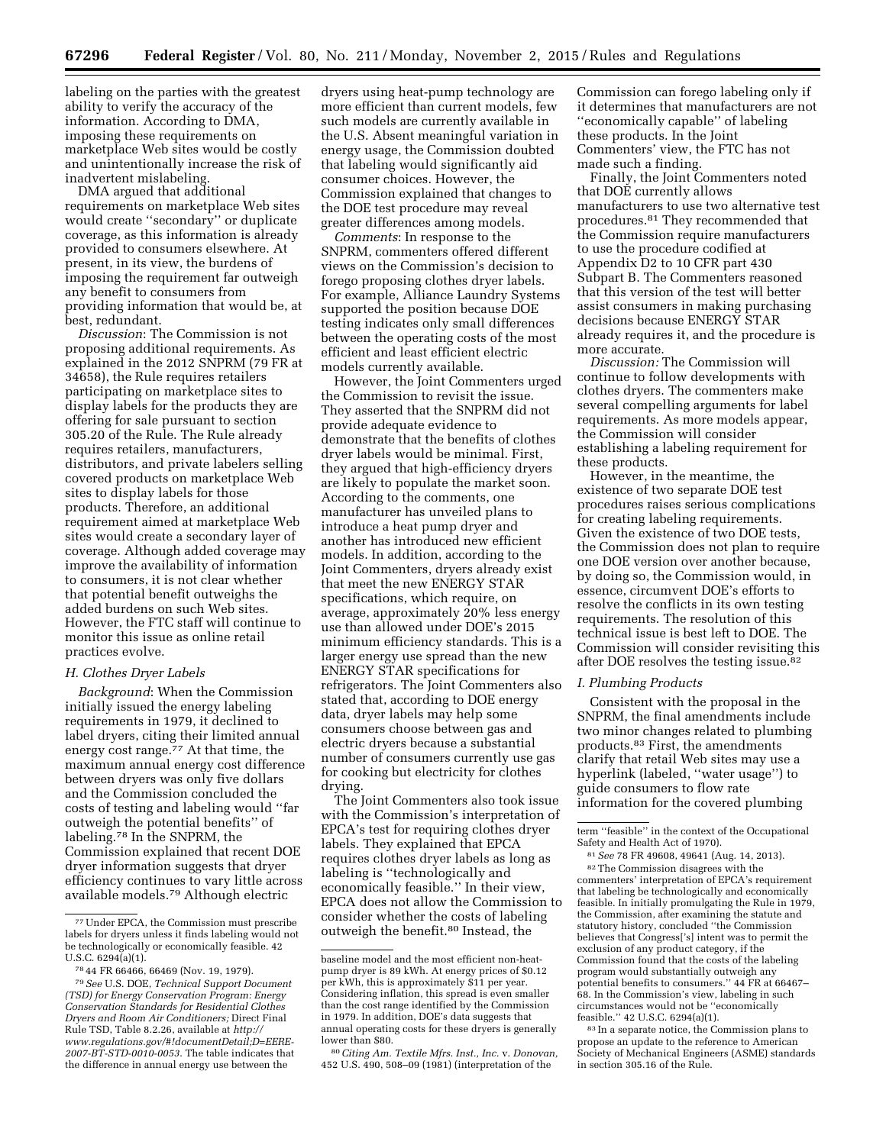labeling on the parties with the greatest ability to verify the accuracy of the information. According to DMA, imposing these requirements on marketplace Web sites would be costly and unintentionally increase the risk of inadvertent mislabeling.

DMA argued that additional requirements on marketplace Web sites would create ''secondary'' or duplicate coverage, as this information is already provided to consumers elsewhere. At present, in its view, the burdens of imposing the requirement far outweigh any benefit to consumers from providing information that would be, at best, redundant.

*Discussion*: The Commission is not proposing additional requirements. As explained in the 2012 SNPRM (79 FR at 34658), the Rule requires retailers participating on marketplace sites to display labels for the products they are offering for sale pursuant to section 305.20 of the Rule. The Rule already requires retailers, manufacturers, distributors, and private labelers selling covered products on marketplace Web sites to display labels for those products. Therefore, an additional requirement aimed at marketplace Web sites would create a secondary layer of coverage. Although added coverage may improve the availability of information to consumers, it is not clear whether that potential benefit outweighs the added burdens on such Web sites. However, the FTC staff will continue to monitor this issue as online retail practices evolve.

#### *H. Clothes Dryer Labels*

*Background*: When the Commission initially issued the energy labeling requirements in 1979, it declined to label dryers, citing their limited annual energy cost range.77 At that time, the maximum annual energy cost difference between dryers was only five dollars and the Commission concluded the costs of testing and labeling would ''far outweigh the potential benefits'' of labeling.78 In the SNPRM, the Commission explained that recent DOE dryer information suggests that dryer efficiency continues to vary little across available models.79 Although electric

dryers using heat-pump technology are more efficient than current models, few such models are currently available in the U.S. Absent meaningful variation in energy usage, the Commission doubted that labeling would significantly aid consumer choices. However, the Commission explained that changes to the DOE test procedure may reveal greater differences among models.

*Comments*: In response to the SNPRM, commenters offered different views on the Commission's decision to forego proposing clothes dryer labels. For example, Alliance Laundry Systems supported the position because DOE testing indicates only small differences between the operating costs of the most efficient and least efficient electric models currently available.

However, the Joint Commenters urged the Commission to revisit the issue. They asserted that the SNPRM did not provide adequate evidence to demonstrate that the benefits of clothes dryer labels would be minimal. First, they argued that high-efficiency dryers are likely to populate the market soon. According to the comments, one manufacturer has unveiled plans to introduce a heat pump dryer and another has introduced new efficient models. In addition, according to the Joint Commenters, dryers already exist that meet the new ENERGY STAR specifications, which require, on average, approximately 20% less energy use than allowed under DOE's 2015 minimum efficiency standards. This is a larger energy use spread than the new ENERGY STAR specifications for refrigerators. The Joint Commenters also stated that, according to DOE energy data, dryer labels may help some consumers choose between gas and electric dryers because a substantial number of consumers currently use gas for cooking but electricity for clothes drying.

The Joint Commenters also took issue with the Commission's interpretation of EPCA's test for requiring clothes dryer labels. They explained that EPCA requires clothes dryer labels as long as labeling is ''technologically and economically feasible.'' In their view, EPCA does not allow the Commission to consider whether the costs of labeling outweigh the benefit.80 Instead, the

Commission can forego labeling only if it determines that manufacturers are not ''economically capable'' of labeling these products. In the Joint Commenters' view, the FTC has not made such a finding.

Finally, the Joint Commenters noted that DOE currently allows manufacturers to use two alternative test procedures.81 They recommended that the Commission require manufacturers to use the procedure codified at Appendix D2 to 10 CFR part 430 Subpart B. The Commenters reasoned that this version of the test will better assist consumers in making purchasing decisions because ENERGY STAR already requires it, and the procedure is more accurate.

*Discussion:* The Commission will continue to follow developments with clothes dryers. The commenters make several compelling arguments for label requirements. As more models appear, the Commission will consider establishing a labeling requirement for these products.

However, in the meantime, the existence of two separate DOE test procedures raises serious complications for creating labeling requirements. Given the existence of two DOE tests, the Commission does not plan to require one DOE version over another because, by doing so, the Commission would, in essence, circumvent DOE's efforts to resolve the conflicts in its own testing requirements. The resolution of this technical issue is best left to DOE. The Commission will consider revisiting this after DOE resolves the testing issue.82

#### *I. Plumbing Products*

Consistent with the proposal in the SNPRM, the final amendments include two minor changes related to plumbing products.83 First, the amendments clarify that retail Web sites may use a hyperlink (labeled, ''water usage'') to guide consumers to flow rate information for the covered plumbing

81*See* 78 FR 49608, 49641 (Aug. 14, 2013). 82The Commission disagrees with the commenters' interpretation of EPCA's requirement that labeling be technologically and economically feasible. In initially promulgating the Rule in 1979, the Commission, after examining the statute and statutory history, concluded ''the Commission believes that Congress['s] intent was to permit the exclusion of any product category, if the Commission found that the costs of the labeling program would substantially outweigh any potential benefits to consumers.'' 44 FR at 66467– 68. In the Commission's view, labeling in such circumstances would not be ''economically feasible.'' 42 U.S.C. 6294(a)(1).

83 In a separate notice, the Commission plans to propose an update to the reference to American Society of Mechanical Engineers (ASME) standards in section 305.16 of the Rule.

<sup>77</sup>Under EPCA, the Commission must prescribe labels for dryers unless it finds labeling would not be technologically or economically feasible. 42 U.S.C. 6294(a)(1).

<sup>78</sup> 44 FR 66466, 66469 (Nov. 19, 1979).

<sup>79</sup>*See* U.S. DOE, *Technical Support Document (TSD) for Energy Conservation Program: Energy Conservation Standards for Residential Clothes Dryers and Room Air Conditioners;* Direct Final Rule TSD, Table 8.2.26, available at *http:// www.regulations.gov/#!documentDetail;D=EERE-2007-BT-STD-0010-0053*. The table indicates that the difference in annual energy use between the

baseline model and the most efficient non-heatpump dryer is 89 kWh. At energy prices of \$0.12 per kWh, this is approximately \$11 per year. Considering inflation, this spread is even smaller than the cost range identified by the Commission in 1979. In addition, DOE's data suggests that annual operating costs for these dryers is generally lower than \$80.

<sup>80</sup>*Citing Am. Textile Mfrs. Inst., Inc.* v. *Donovan,*  452 U.S. 490, 508–09 (1981) (interpretation of the

term ''feasible'' in the context of the Occupational Safety and Health Act of 1970).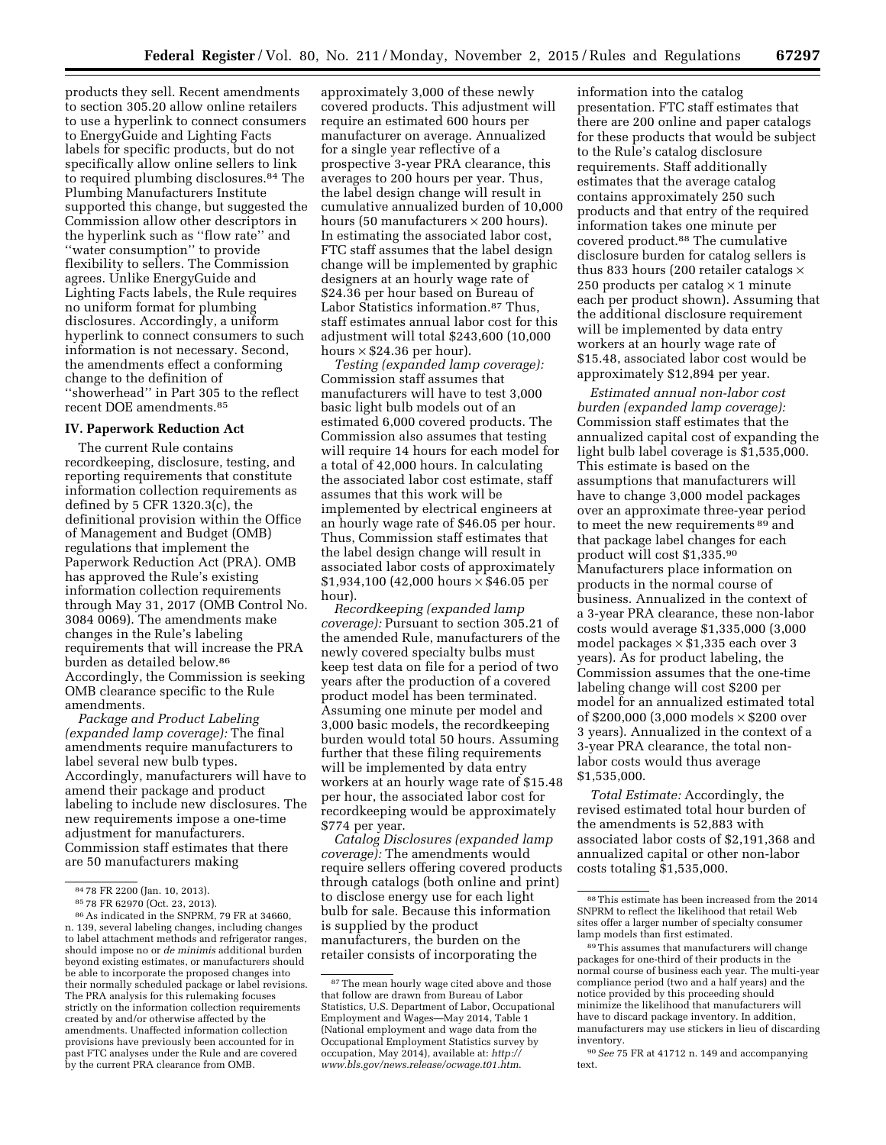products they sell. Recent amendments to section 305.20 allow online retailers to use a hyperlink to connect consumers to EnergyGuide and Lighting Facts labels for specific products, but do not specifically allow online sellers to link to required plumbing disclosures.84 The Plumbing Manufacturers Institute supported this change, but suggested the Commission allow other descriptors in the hyperlink such as ''flow rate'' and ''water consumption'' to provide flexibility to sellers. The Commission agrees. Unlike EnergyGuide and Lighting Facts labels, the Rule requires no uniform format for plumbing disclosures. Accordingly, a uniform hyperlink to connect consumers to such information is not necessary. Second, the amendments effect a conforming change to the definition of ''showerhead'' in Part 305 to the reflect recent DOE amendments.85

### **IV. Paperwork Reduction Act**

The current Rule contains recordkeeping, disclosure, testing, and reporting requirements that constitute information collection requirements as defined by 5 CFR 1320.3(c), the definitional provision within the Office of Management and Budget (OMB) regulations that implement the Paperwork Reduction Act (PRA). OMB has approved the Rule's existing information collection requirements through May 31, 2017 (OMB Control No. 3084 0069). The amendments make changes in the Rule's labeling requirements that will increase the PRA burden as detailed below.86 Accordingly, the Commission is seeking OMB clearance specific to the Rule amendments.

*Package and Product Labeling (expanded lamp coverage):* The final amendments require manufacturers to label several new bulb types. Accordingly, manufacturers will have to amend their package and product labeling to include new disclosures. The new requirements impose a one-time adjustment for manufacturers. Commission staff estimates that there are 50 manufacturers making

approximately 3,000 of these newly covered products. This adjustment will require an estimated 600 hours per manufacturer on average. Annualized for a single year reflective of a prospective 3-year PRA clearance, this averages to 200 hours per year. Thus, the label design change will result in cumulative annualized burden of 10,000 hours (50 manufacturers  $\times$  200 hours). In estimating the associated labor cost, FTC staff assumes that the label design change will be implemented by graphic designers at an hourly wage rate of \$24.36 per hour based on Bureau of Labor Statistics information.87 Thus, staff estimates annual labor cost for this adjustment will total \$243,600 (10,000 hours  $\times$  \$24.36 per hour).

*Testing (expanded lamp coverage):*  Commission staff assumes that manufacturers will have to test 3,000 basic light bulb models out of an estimated 6,000 covered products. The Commission also assumes that testing will require 14 hours for each model for a total of 42,000 hours. In calculating the associated labor cost estimate, staff assumes that this work will be implemented by electrical engineers at an hourly wage rate of \$46.05 per hour. Thus, Commission staff estimates that the label design change will result in associated labor costs of approximately \$1,934,100 (42,000 hours × \$46.05 per hour).

*Recordkeeping (expanded lamp coverage):* Pursuant to section 305.21 of the amended Rule, manufacturers of the newly covered specialty bulbs must keep test data on file for a period of two years after the production of a covered product model has been terminated. Assuming one minute per model and 3,000 basic models, the recordkeeping burden would total 50 hours. Assuming further that these filing requirements will be implemented by data entry workers at an hourly wage rate of \$15.48 per hour, the associated labor cost for recordkeeping would be approximately \$774 per year.

*Catalog Disclosures (expanded lamp coverage):* The amendments would require sellers offering covered products through catalogs (both online and print) to disclose energy use for each light bulb for sale. Because this information is supplied by the product manufacturers, the burden on the retailer consists of incorporating the

information into the catalog presentation. FTC staff estimates that there are 200 online and paper catalogs for these products that would be subject to the Rule's catalog disclosure requirements. Staff additionally estimates that the average catalog contains approximately 250 such products and that entry of the required information takes one minute per covered product.88 The cumulative disclosure burden for catalog sellers is thus 833 hours (200 retailer catalogs  $\times$ 250 products per catalog  $\times$  1 minute each per product shown). Assuming that the additional disclosure requirement will be implemented by data entry workers at an hourly wage rate of \$15.48, associated labor cost would be approximately \$12,894 per year.

*Estimated annual non-labor cost burden (expanded lamp coverage):*  Commission staff estimates that the annualized capital cost of expanding the light bulb label coverage is \$1,535,000. This estimate is based on the assumptions that manufacturers will have to change 3,000 model packages over an approximate three-year period to meet the new requirements 89 and that package label changes for each product will cost \$1,335.90 Manufacturers place information on products in the normal course of business. Annualized in the context of a 3-year PRA clearance, these non-labor costs would average \$1,335,000 (3,000 model packages  $\times$  \$1,335 each over 3 years). As for product labeling, the Commission assumes that the one-time labeling change will cost \$200 per model for an annualized estimated total of \$200,000 (3,000 models × \$200 over 3 years). Annualized in the context of a 3-year PRA clearance, the total nonlabor costs would thus average \$1,535,000.

*Total Estimate:* Accordingly, the revised estimated total hour burden of the amendments is 52,883 with associated labor costs of \$2,191,368 and annualized capital or other non-labor costs totaling \$1,535,000.

<sup>84 78</sup> FR 2200 (Jan. 10, 2013).<br>85 78 FR 62970 (Oct. 23, 2013).<br>86 As indicated in the SNPRM, 79 FR at 34660, n. 139, several labeling changes, including changes to label attachment methods and refrigerator ranges, should impose no or *de minimis* additional burden beyond existing estimates, or manufacturers should be able to incorporate the proposed changes into their normally scheduled package or label revisions. The PRA analysis for this rulemaking focuses strictly on the information collection requirements created by and/or otherwise affected by the amendments. Unaffected information collection provisions have previously been accounted for in past FTC analyses under the Rule and are covered by the current PRA clearance from OMB.

<sup>&</sup>lt;sup>87</sup>The mean hourly wage cited above and those that follow are drawn from Bureau of Labor Statistics, U.S. Department of Labor, Occupational Employment and Wages—May 2014, Table 1 (National employment and wage data from the Occupational Employment Statistics survey by occupation, May 2014), available at: *http:// www.bls.gov/news.release/ocwage.t01.htm*.

<sup>88</sup>This estimate has been increased from the 2014 SNPRM to reflect the likelihood that retail Web sites offer a larger number of specialty consumer lamp models than first estimated.

<sup>89</sup>This assumes that manufacturers will change packages for one-third of their products in the normal course of business each year. The multi-year compliance period (two and a half years) and the notice provided by this proceeding should minimize the likelihood that manufacturers will have to discard package inventory. In addition, manufacturers may use stickers in lieu of discarding inventory.

<sup>90</sup>*See* 75 FR at 41712 n. 149 and accompanying text.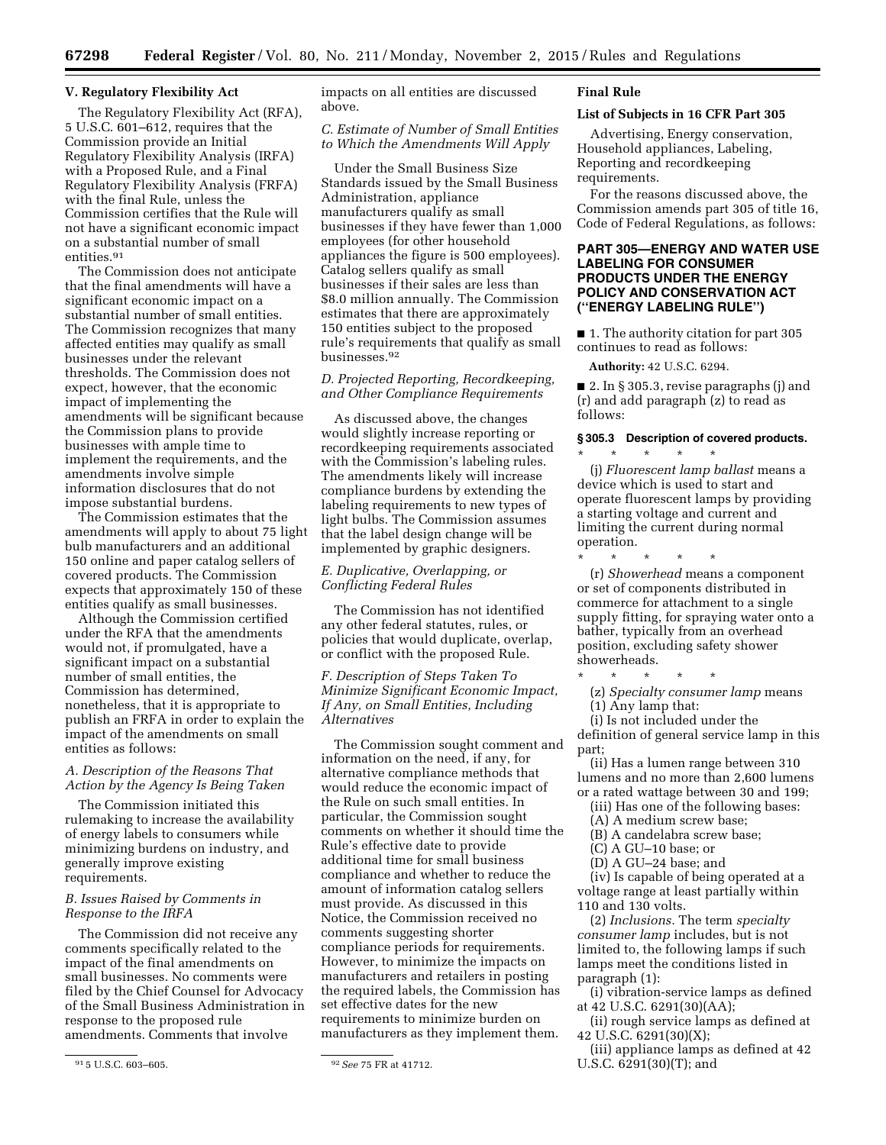#### **V. Regulatory Flexibility Act**

The Regulatory Flexibility Act (RFA), 5 U.S.C. 601–612, requires that the Commission provide an Initial Regulatory Flexibility Analysis (IRFA) with a Proposed Rule, and a Final Regulatory Flexibility Analysis (FRFA) with the final Rule, unless the Commission certifies that the Rule will not have a significant economic impact on a substantial number of small entities.91

The Commission does not anticipate that the final amendments will have a significant economic impact on a substantial number of small entities. The Commission recognizes that many affected entities may qualify as small businesses under the relevant thresholds. The Commission does not expect, however, that the economic impact of implementing the amendments will be significant because the Commission plans to provide businesses with ample time to implement the requirements, and the amendments involve simple information disclosures that do not impose substantial burdens.

The Commission estimates that the amendments will apply to about 75 light bulb manufacturers and an additional 150 online and paper catalog sellers of covered products. The Commission expects that approximately 150 of these entities qualify as small businesses.

Although the Commission certified under the RFA that the amendments would not, if promulgated, have a significant impact on a substantial number of small entities, the Commission has determined, nonetheless, that it is appropriate to publish an FRFA in order to explain the impact of the amendments on small entities as follows:

## *A. Description of the Reasons That Action by the Agency Is Being Taken*

The Commission initiated this rulemaking to increase the availability of energy labels to consumers while minimizing burdens on industry, and generally improve existing requirements.

#### *B. Issues Raised by Comments in Response to the IRFA*

The Commission did not receive any comments specifically related to the impact of the final amendments on small businesses. No comments were filed by the Chief Counsel for Advocacy of the Small Business Administration in response to the proposed rule amendments. Comments that involve

impacts on all entities are discussed above.

# *C. Estimate of Number of Small Entities to Which the Amendments Will Apply*

Under the Small Business Size Standards issued by the Small Business Administration, appliance manufacturers qualify as small businesses if they have fewer than 1,000 employees (for other household appliances the figure is 500 employees). Catalog sellers qualify as small businesses if their sales are less than \$8.0 million annually. The Commission estimates that there are approximately 150 entities subject to the proposed rule's requirements that qualify as small businesses.92

# *D. Projected Reporting, Recordkeeping, and Other Compliance Requirements*

As discussed above, the changes would slightly increase reporting or recordkeeping requirements associated with the Commission's labeling rules. The amendments likely will increase compliance burdens by extending the labeling requirements to new types of light bulbs. The Commission assumes that the label design change will be implemented by graphic designers.

# *E. Duplicative, Overlapping, or Conflicting Federal Rules*

The Commission has not identified any other federal statutes, rules, or policies that would duplicate, overlap, or conflict with the proposed Rule.

*F. Description of Steps Taken To Minimize Significant Economic Impact, If Any, on Small Entities, Including Alternatives* 

The Commission sought comment and information on the need, if any, for alternative compliance methods that would reduce the economic impact of the Rule on such small entities. In particular, the Commission sought comments on whether it should time the Rule's effective date to provide additional time for small business compliance and whether to reduce the amount of information catalog sellers must provide. As discussed in this Notice, the Commission received no comments suggesting shorter compliance periods for requirements. However, to minimize the impacts on manufacturers and retailers in posting the required labels, the Commission has set effective dates for the new requirements to minimize burden on manufacturers as they implement them.

#### **Final Rule**

#### **List of Subjects in 16 CFR Part 305**

Advertising, Energy conservation, Household appliances, Labeling, Reporting and recordkeeping requirements.

For the reasons discussed above, the Commission amends part 305 of title 16, Code of Federal Regulations, as follows:

# **PART 305—ENERGY AND WATER USE LABELING FOR CONSUMER PRODUCTS UNDER THE ENERGY POLICY AND CONSERVATION ACT (''ENERGY LABELING RULE'')**

■ 1. The authority citation for part 305 continues to read as follows:

**Authority:** 42 U.S.C. 6294.

■ 2. In § 305.3, revise paragraphs (j) and (r) and add paragraph (z) to read as follows:

#### **§ 305.3 Description of covered products.**  \* \* \* \* \*

(j) *Fluorescent lamp ballast* means a device which is used to start and operate fluorescent lamps by providing a starting voltage and current and limiting the current during normal operation.

\* \* \* \* \* (r) *Showerhead* means a component or set of components distributed in commerce for attachment to a single supply fitting, for spraying water onto a bather, typically from an overhead

position, excluding safety shower showerheads.

\* \* \* \* \*

(z) *Specialty consumer lamp* means (1) Any lamp that:

(i) Is not included under the definition of general service lamp in this part;

(ii) Has a lumen range between 310 lumens and no more than 2,600 lumens or a rated wattage between 30 and 199;

(iii) Has one of the following bases:

(A) A medium screw base;

(B) A candelabra screw base;

(C) A GU–10 base; or

(D) A GU–24 base; and

(iv) Is capable of being operated at a voltage range at least partially within 110 and 130 volts.

(2) *Inclusions.* The term *specialty consumer lamp* includes, but is not limited to, the following lamps if such lamps meet the conditions listed in paragraph (1):

(i) vibration-service lamps as defined at 42 U.S.C. 6291(30)(AA);

(ii) rough service lamps as defined at 42 U.S.C. 6291(30)(X);

(iii) appliance lamps as defined at 42 U.S.C. 6291(30)(T); and

<sup>91</sup> 5 U.S.C. 603–605. 92*See* 75 FR at 41712.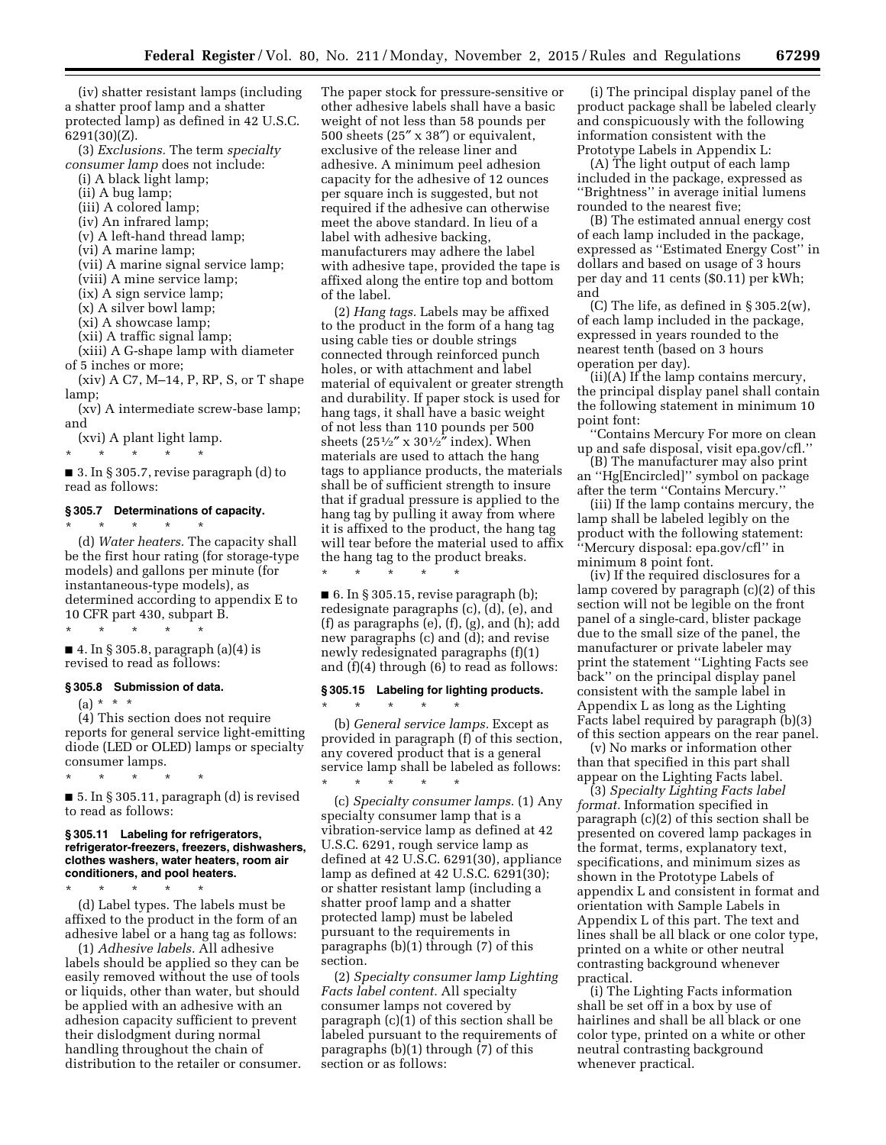(iv) shatter resistant lamps (including a shatter proof lamp and a shatter protected lamp) as defined in 42 U.S.C. 6291(30)(Z).

(3) *Exclusions.* The term *specialty consumer lamp* does not include:

- (i) A black light lamp;
- (ii) A bug lamp;
- (iii) A colored lamp;
- (iv) An infrared lamp;
- (v) A left-hand thread lamp;
- (vi) A marine lamp;

(vii) A marine signal service lamp;

- (viii) A mine service lamp;
- (ix) A sign service lamp;
- (x) A silver bowl lamp;
- (xi) A showcase lamp;
- (xii) A traffic signal lamp;

(xiii) A G-shape lamp with diameter of 5 inches or more;

(xiv) A C7, M–14, P, RP, S, or T shape lamp;

(xv) A intermediate screw-base lamp; and

(xvi) A plant light lamp.

\* \* \* \* \*

\* \* \* \* \*

 $\blacksquare$  3. In § 305.7, revise paragraph (d) to read as follows:

#### **§ 305.7 Determinations of capacity.**

(d) *Water heaters.* The capacity shall be the first hour rating (for storage-type models) and gallons per minute (for instantaneous-type models), as determined according to appendix E to 10 CFR part 430, subpart B.

\* \* \* \* \* ■ 4. In § 305.8, paragraph (a)(4) is revised to read as follows:

#### **§ 305.8 Submission of data.**

 $(a) * * * *$ 

to read as follows:

(4) This section does not require reports for general service light-emitting diode (LED or OLED) lamps or specialty consumer lamps.

\* \* \* \* \* ■ 5. In § 305.11, paragraph (d) is revised

#### **§ 305.11 Labeling for refrigerators, refrigerator-freezers, freezers, dishwashers, clothes washers, water heaters, room air conditioners, and pool heaters.**

\* \* \* \* \* (d) Label types. The labels must be affixed to the product in the form of an adhesive label or a hang tag as follows:

(1) *Adhesive labels.* All adhesive labels should be applied so they can be easily removed without the use of tools or liquids, other than water, but should be applied with an adhesive with an adhesion capacity sufficient to prevent their dislodgment during normal handling throughout the chain of distribution to the retailer or consumer.

The paper stock for pressure-sensitive or other adhesive labels shall have a basic weight of not less than 58 pounds per 500 sheets (25″ x 38″) or equivalent, exclusive of the release liner and adhesive. A minimum peel adhesion capacity for the adhesive of 12 ounces per square inch is suggested, but not required if the adhesive can otherwise meet the above standard. In lieu of a label with adhesive backing, manufacturers may adhere the label with adhesive tape, provided the tape is affixed along the entire top and bottom of the label.

(2) *Hang tags.* Labels may be affixed to the product in the form of a hang tag using cable ties or double strings connected through reinforced punch holes, or with attachment and label material of equivalent or greater strength and durability. If paper stock is used for hang tags, it shall have a basic weight of not less than 110 pounds per 500 sheets  $(25\frac{1}{2}$ " x  $30\frac{1}{2}$ " index). When materials are used to attach the hang tags to appliance products, the materials shall be of sufficient strength to insure that if gradual pressure is applied to the hang tag by pulling it away from where it is affixed to the product, the hang tag will tear before the material used to affix the hang tag to the product breaks. \* \* \* \* \*

 $\blacksquare$  6. In § 305.15, revise paragraph (b); redesignate paragraphs (c), (d), (e), and (f) as paragraphs (e), (f), (g), and (h); add new paragraphs (c) and (d); and revise newly redesignated paragraphs (f)(1) and (f)(4) through (6) to read as follows:

# **§ 305.15 Labeling for lighting products.**

\* \* \* \* \*

(b) *General service lamps.* Except as provided in paragraph (f) of this section, any covered product that is a general service lamp shall be labeled as follows: \* \* \* \* \*

(c) *Specialty consumer lamps.* (1) Any specialty consumer lamp that is a vibration-service lamp as defined at 42 U.S.C. 6291, rough service lamp as defined at 42 U.S.C. 6291(30), appliance lamp as defined at 42 U.S.C. 6291(30); or shatter resistant lamp (including a shatter proof lamp and a shatter protected lamp) must be labeled pursuant to the requirements in paragraphs (b)(1) through (7) of this section.

(2) *Specialty consumer lamp Lighting Facts label content.* All specialty consumer lamps not covered by paragraph (c)(1) of this section shall be labeled pursuant to the requirements of paragraphs (b)(1) through (7) of this section or as follows:

(i) The principal display panel of the product package shall be labeled clearly and conspicuously with the following information consistent with the Prototype Labels in Appendix L:

(A) The light output of each lamp included in the package, expressed as ''Brightness'' in average initial lumens rounded to the nearest five;

(B) The estimated annual energy cost of each lamp included in the package, expressed as ''Estimated Energy Cost'' in dollars and based on usage of 3 hours per day and 11 cents (\$0.11) per kWh; and

(C) The life, as defined in  $\S 305.2(w)$ , of each lamp included in the package, expressed in years rounded to the nearest tenth (based on 3 hours operation per day).

(ii)(A) If the lamp contains mercury, the principal display panel shall contain the following statement in minimum 10 point font:

''Contains Mercury For more on clean up and safe disposal, visit epa.gov/cfl.''

(B) The manufacturer may also print an ''Hg[Encircled]'' symbol on package after the term ''Contains Mercury.''

(iii) If the lamp contains mercury, the lamp shall be labeled legibly on the product with the following statement: ''Mercury disposal: epa.gov/cfl'' in minimum 8 point font.

(iv) If the required disclosures for a lamp covered by paragraph (c)(2) of this section will not be legible on the front panel of a single-card, blister package due to the small size of the panel, the manufacturer or private labeler may print the statement ''Lighting Facts see back'' on the principal display panel consistent with the sample label in Appendix L as long as the Lighting Facts label required by paragraph (b)(3) of this section appears on the rear panel.

(v) No marks or information other than that specified in this part shall appear on the Lighting Facts label.

(3) *Specialty Lighting Facts label format.* Information specified in paragraph (c)(2) of this section shall be presented on covered lamp packages in the format, terms, explanatory text, specifications, and minimum sizes as shown in the Prototype Labels of appendix L and consistent in format and orientation with Sample Labels in Appendix L of this part. The text and lines shall be all black or one color type, printed on a white or other neutral contrasting background whenever practical.

(i) The Lighting Facts information shall be set off in a box by use of hairlines and shall be all black or one color type, printed on a white or other neutral contrasting background whenever practical.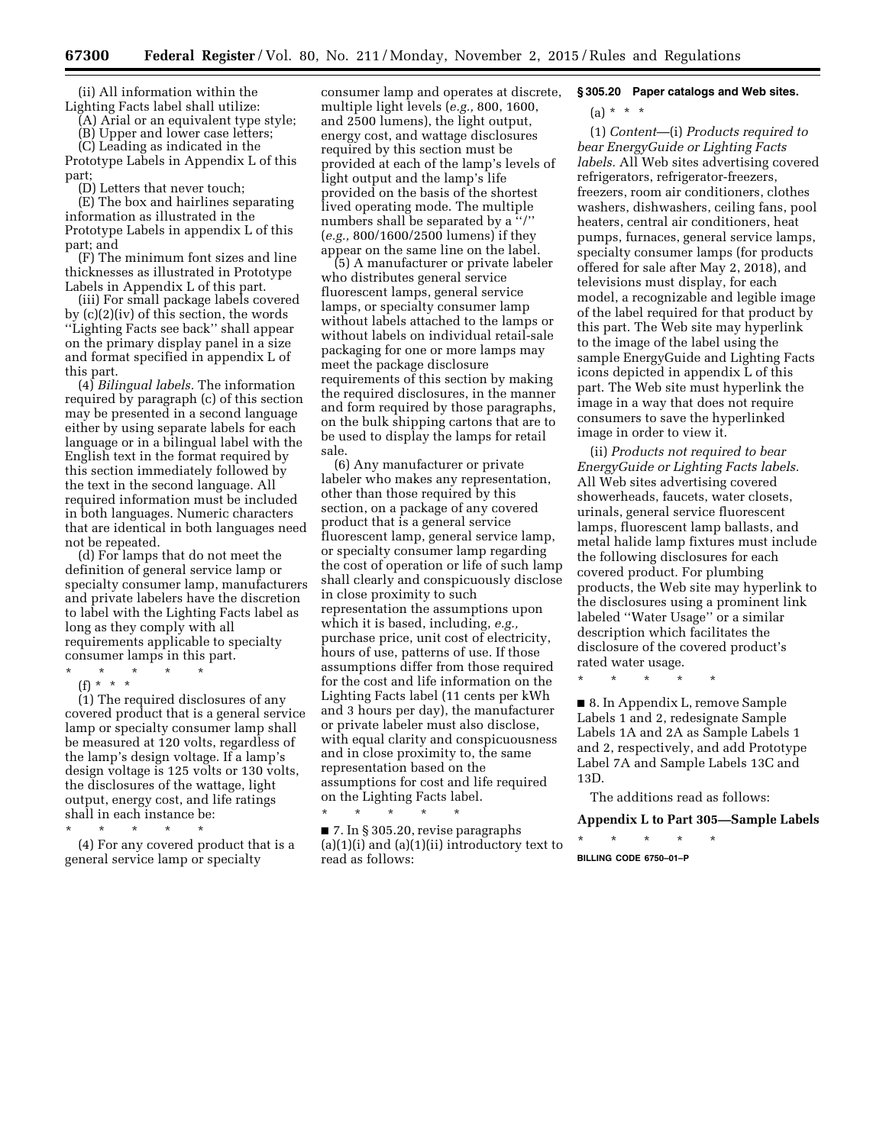(ii) All information within the Lighting Facts label shall utilize:

(A) Arial or an equivalent type style;

(B) Upper and lower case letters;

(C) Leading as indicated in the Prototype Labels in Appendix L of this part;

(D) Letters that never touch;

(E) The box and hairlines separating information as illustrated in the Prototype Labels in appendix L of this part; and

(F) The minimum font sizes and line thicknesses as illustrated in Prototype Labels in Appendix L of this part.

(iii) For small package labels covered by (c)(2)(iv) of this section, the words ''Lighting Facts see back'' shall appear on the primary display panel in a size and format specified in appendix L of this part.

(4) *Bilingual labels.* The information required by paragraph (c) of this section may be presented in a second language either by using separate labels for each language or in a bilingual label with the English text in the format required by this section immediately followed by the text in the second language. All required information must be included in both languages. Numeric characters that are identical in both languages need not be repeated.

(d) For lamps that do not meet the definition of general service lamp or specialty consumer lamp, manufacturers and private labelers have the discretion to label with the Lighting Facts label as long as they comply with all requirements applicable to specialty consumer lamps in this part.

\* \* \* \* \* (f) \* \* \*

 $(1)$  The required disclosures of any covered product that is a general service lamp or specialty consumer lamp shall be measured at 120 volts, regardless of the lamp's design voltage. If a lamp's design voltage is 125 volts or 130 volts, the disclosures of the wattage, light output, energy cost, and life ratings shall in each instance be:

\* \* \* \* \*

(4) For any covered product that is a general service lamp or specialty

consumer lamp and operates at discrete, multiple light levels (*e.g.,* 800, 1600, and 2500 lumens), the light output, energy cost, and wattage disclosures required by this section must be provided at each of the lamp's levels of light output and the lamp's life provided on the basis of the shortest lived operating mode. The multiple numbers shall be separated by a ''/'' (*e.g.,* 800/1600/2500 lumens) if they appear on the same line on the label.

(5) A manufacturer or private labeler who distributes general service fluorescent lamps, general service lamps, or specialty consumer lamp without labels attached to the lamps or without labels on individual retail-sale packaging for one or more lamps may meet the package disclosure requirements of this section by making the required disclosures, in the manner and form required by those paragraphs, on the bulk shipping cartons that are to be used to display the lamps for retail sale.

(6) Any manufacturer or private labeler who makes any representation, other than those required by this section, on a package of any covered product that is a general service fluorescent lamp, general service lamp, or specialty consumer lamp regarding the cost of operation or life of such lamp shall clearly and conspicuously disclose in close proximity to such representation the assumptions upon which it is based, including, *e.g.,*  purchase price, unit cost of electricity, hours of use, patterns of use. If those assumptions differ from those required for the cost and life information on the Lighting Facts label (11 cents per kWh and 3 hours per day), the manufacturer or private labeler must also disclose, with equal clarity and conspicuousness and in close proximity to, the same representation based on the assumptions for cost and life required on the Lighting Facts label.

■ 7. In § 305.20, revise paragraphs  $(a)(1)(i)$  and  $(a)(1)(ii)$  introductory text to read as follows:

\* \* \* \* \*

#### **§ 305.20 Paper catalogs and Web sites.**

 $(a) * * * *$ 

(1) *Content*—(i) *Products required to bear EnergyGuide or Lighting Facts labels.* All Web sites advertising covered refrigerators, refrigerator-freezers, freezers, room air conditioners, clothes washers, dishwashers, ceiling fans, pool heaters, central air conditioners, heat pumps, furnaces, general service lamps, specialty consumer lamps (for products offered for sale after May 2, 2018), and televisions must display, for each model, a recognizable and legible image of the label required for that product by this part. The Web site may hyperlink to the image of the label using the sample EnergyGuide and Lighting Facts icons depicted in appendix L of this part. The Web site must hyperlink the image in a way that does not require consumers to save the hyperlinked image in order to view it.

(ii) *Products not required to bear EnergyGuide or Lighting Facts labels.*  All Web sites advertising covered showerheads, faucets, water closets, urinals, general service fluorescent lamps, fluorescent lamp ballasts, and metal halide lamp fixtures must include the following disclosures for each covered product. For plumbing products, the Web site may hyperlink to the disclosures using a prominent link labeled ''Water Usage'' or a similar description which facilitates the disclosure of the covered product's rated water usage.

\* \* \* \* \*

■ 8. In Appendix L, remove Sample Labels 1 and 2, redesignate Sample Labels 1A and 2A as Sample Labels 1 and 2, respectively, and add Prototype Label 7A and Sample Labels 13C and 13D.

The additions read as follows:

# **Appendix L to Part 305—Sample Labels**

\* \* \* \* \* **BILLING CODE 6750–01–P**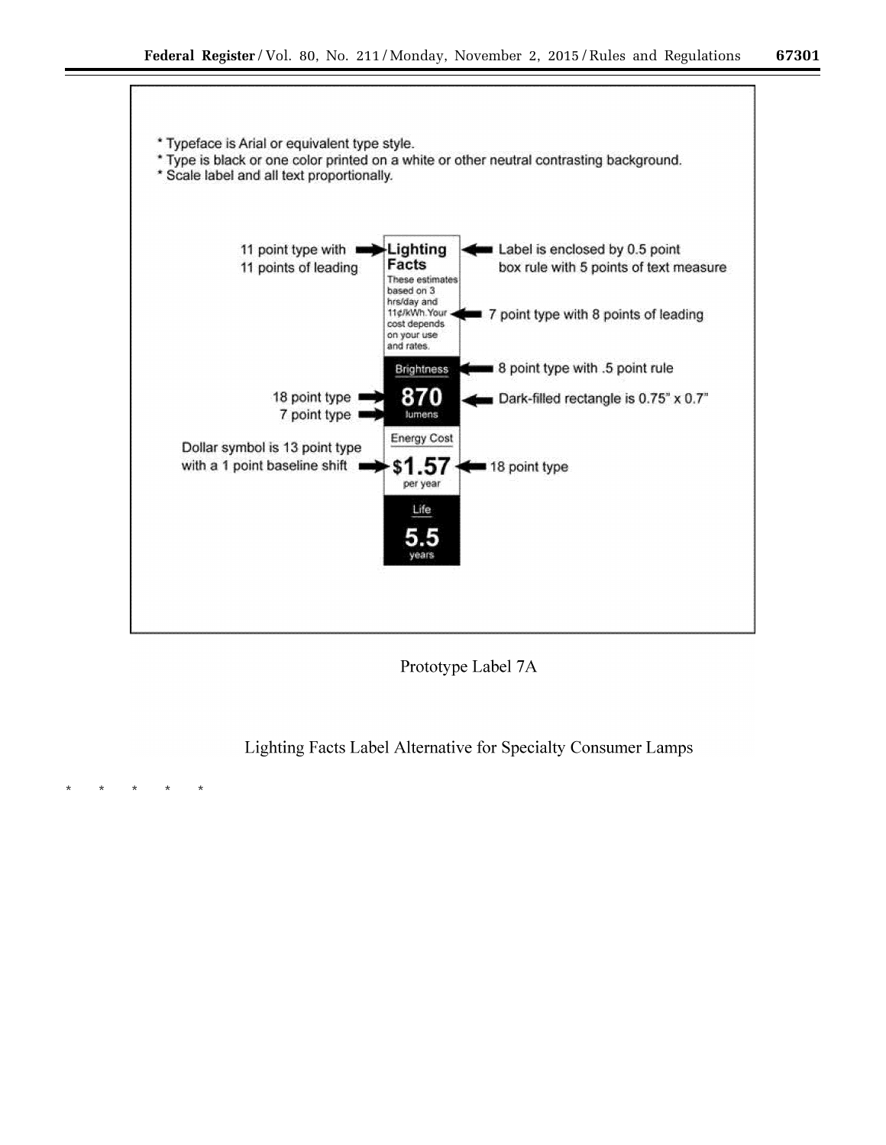

Prototype Label 7A

Lighting Facts Label Alternative for Specialty Consumer Lamps

\* \* \* \* \*